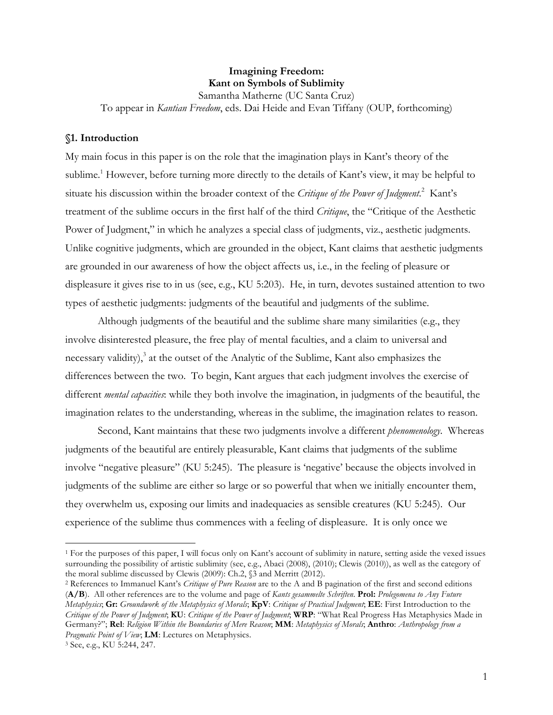# **Imagining Freedom: Kant on Symbols of Sublimity**

Samantha Matherne (UC Santa Cruz) To appear in *Kantian Freedom*, eds. Dai Heide and Evan Tiffany (OUP, forthcoming)

## **§1. Introduction**

My main focus in this paper is on the role that the imagination plays in Kant's theory of the sublime.<sup>1</sup> However, before turning more directly to the details of Kant's view, it may be helpful to situate his discussion within the broader context of the *Critique of the Power of Judgment*.<sup>2</sup> Kant's treatment of the sublime occurs in the first half of the third *Critique*, the "Critique of the Aesthetic Power of Judgment," in which he analyzes a special class of judgments, viz., aesthetic judgments. Unlike cognitive judgments, which are grounded in the object, Kant claims that aesthetic judgments are grounded in our awareness of how the object affects us, i.e., in the feeling of pleasure or displeasure it gives rise to in us (see, e.g., KU 5:203). He, in turn, devotes sustained attention to two types of aesthetic judgments: judgments of the beautiful and judgments of the sublime.

Although judgments of the beautiful and the sublime share many similarities (e.g., they involve disinterested pleasure, the free play of mental faculties, and a claim to universal and necessary validity),<sup>3</sup> at the outset of the Analytic of the Sublime, Kant also emphasizes the differences between the two. To begin, Kant argues that each judgment involves the exercise of different *mental capacities*: while they both involve the imagination, in judgments of the beautiful, the imagination relates to the understanding, whereas in the sublime, the imagination relates to reason.

Second, Kant maintains that these two judgments involve a different *phenomenology*. Whereas judgments of the beautiful are entirely pleasurable, Kant claims that judgments of the sublime involve "negative pleasure" (KU 5:245). The pleasure is 'negative' because the objects involved in judgments of the sublime are either so large or so powerful that when we initially encounter them, they overwhelm us, exposing our limits and inadequacies as sensible creatures (KU 5:245). Our experience of the sublime thus commences with a feeling of displeasure. It is only once we

<sup>&</sup>lt;sup>1</sup> For the purposes of this paper, I will focus only on Kant's account of sublimity in nature, setting aside the vexed issues surrounding the possibility of artistic sublimity (see, e.g., Abaci (2008), (2010); Clewis (2010)), as well as the category of the moral sublime discussed by Clewis (2009): Ch.2, §3 and Merritt (2012). 2 References to Immanuel Kant's *Critique of Pure Reason* are to the A and B pagination of the first and second editions

<sup>(</sup>**A/B**). All other references are to the volume and page of *Kants gesammelte Schriften*. **Prol:** *Prolegomena to Any Future Metaphysics*; **Gr:** *Groundwork of the Metaphysics of Morals*; **KpV**: *Critique of Practical Judgment*; **EE**: First Introduction to the *Critique of the Power of Judgment*; **KU**: *Critique of the Power of Judgment*; **WRP**: "What Real Progress Has Metaphysics Made in Germany?"; **Rel**: *Religion Within the Boundaries of Mere Reason*; **MM**: *Metaphysics of Morals*; **Anthro**: *Anthropology from a Pragmatic Point of View*; **LM**: Lectures on Metaphysics.

<sup>3</sup> See, e.g., KU 5:244, 247.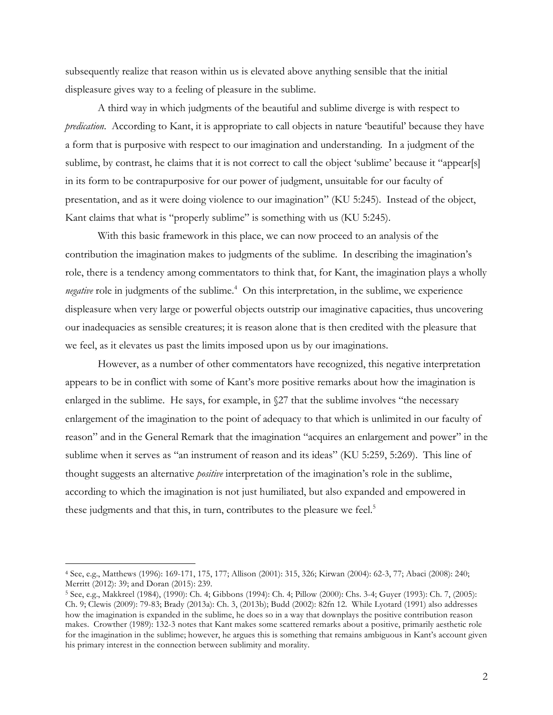subsequently realize that reason within us is elevated above anything sensible that the initial displeasure gives way to a feeling of pleasure in the sublime.

A third way in which judgments of the beautiful and sublime diverge is with respect to *predication*. According to Kant, it is appropriate to call objects in nature 'beautiful' because they have a form that is purposive with respect to our imagination and understanding. In a judgment of the sublime, by contrast, he claims that it is not correct to call the object 'sublime' because it "appear[s] in its form to be contrapurposive for our power of judgment, unsuitable for our faculty of presentation, and as it were doing violence to our imagination" (KU 5:245). Instead of the object, Kant claims that what is "properly sublime" is something with us (KU 5:245).

With this basic framework in this place, we can now proceed to an analysis of the contribution the imagination makes to judgments of the sublime. In describing the imagination's role, there is a tendency among commentators to think that, for Kant, the imagination plays a wholly negative role in judgments of the sublime.<sup>4</sup> On this interpretation, in the sublime, we experience displeasure when very large or powerful objects outstrip our imaginative capacities, thus uncovering our inadequacies as sensible creatures; it is reason alone that is then credited with the pleasure that we feel, as it elevates us past the limits imposed upon us by our imaginations.

However, as a number of other commentators have recognized, this negative interpretation appears to be in conflict with some of Kant's more positive remarks about how the imagination is enlarged in the sublime. He says, for example, in §27 that the sublime involves "the necessary enlargement of the imagination to the point of adequacy to that which is unlimited in our faculty of reason" and in the General Remark that the imagination "acquires an enlargement and power" in the sublime when it serves as "an instrument of reason and its ideas" (KU 5:259, 5:269). This line of thought suggests an alternative *positive* interpretation of the imagination's role in the sublime, according to which the imagination is not just humiliated, but also expanded and empowered in these judgments and that this, in turn, contributes to the pleasure we feel.<sup>5</sup>

 <sup>4</sup> See, e.g., Matthews (1996): 169-171, 175, 177; Allison (2001): 315, 326; Kirwan (2004): 62-3, 77; Abaci (2008): 240; Merritt (2012): 39; and Doran (2015): 239.

<sup>5</sup> See, e.g., Makkreel (1984), (1990): Ch. 4; Gibbons (1994): Ch. 4; Pillow (2000): Chs. 3-4; Guyer (1993): Ch. 7, (2005): Ch. 9; Clewis (2009): 79-83; Brady (2013a): Ch. 3, (2013b); Budd (2002): 82fn 12. While Lyotard (1991) also addresses how the imagination is expanded in the sublime, he does so in a way that downplays the positive contribution reason makes. Crowther (1989): 132-3 notes that Kant makes some scattered remarks about a positive, primarily aesthetic role for the imagination in the sublime; however, he argues this is something that remains ambiguous in Kant's account given his primary interest in the connection between sublimity and morality.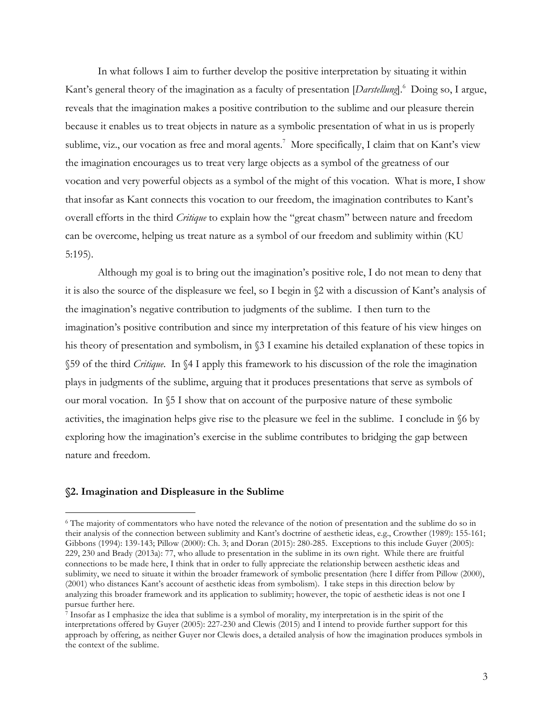In what follows I aim to further develop the positive interpretation by situating it within Kant's general theory of the imagination as a faculty of presentation [*Darstellung*].<sup>6</sup> Doing so, I argue, reveals that the imagination makes a positive contribution to the sublime and our pleasure therein because it enables us to treat objects in nature as a symbolic presentation of what in us is properly sublime, viz., our vocation as free and moral agents.<sup>7</sup> More specifically, I claim that on Kant's view the imagination encourages us to treat very large objects as a symbol of the greatness of our vocation and very powerful objects as a symbol of the might of this vocation. What is more, I show that insofar as Kant connects this vocation to our freedom, the imagination contributes to Kant's overall efforts in the third *Critique* to explain how the "great chasm" between nature and freedom can be overcome, helping us treat nature as a symbol of our freedom and sublimity within (KU 5:195).

Although my goal is to bring out the imagination's positive role, I do not mean to deny that it is also the source of the displeasure we feel, so I begin in §2 with a discussion of Kant's analysis of the imagination's negative contribution to judgments of the sublime. I then turn to the imagination's positive contribution and since my interpretation of this feature of his view hinges on his theory of presentation and symbolism, in §3 I examine his detailed explanation of these topics in §59 of the third *Critique*. In §4 I apply this framework to his discussion of the role the imagination plays in judgments of the sublime, arguing that it produces presentations that serve as symbols of our moral vocation. In §5 I show that on account of the purposive nature of these symbolic activities, the imagination helps give rise to the pleasure we feel in the sublime. I conclude in §6 by exploring how the imagination's exercise in the sublime contributes to bridging the gap between nature and freedom.

## **§2. Imagination and Displeasure in the Sublime**

 <sup>6</sup> The majority of commentators who have noted the relevance of the notion of presentation and the sublime do so in their analysis of the connection between sublimity and Kant's doctrine of aesthetic ideas, e.g., Crowther (1989): 155-161; Gibbons (1994): 139-143; Pillow (2000): Ch. 3; and Doran (2015): 280-285. Exceptions to this include Guyer (2005): 229, 230 and Brady (2013a): 77, who allude to presentation in the sublime in its own right. While there are fruitful connections to be made here, I think that in order to fully appreciate the relationship between aesthetic ideas and sublimity, we need to situate it within the broader framework of symbolic presentation (here I differ from Pillow (2000), (2001) who distances Kant's account of aesthetic ideas from symbolism). I take steps in this direction below by analyzing this broader framework and its application to sublimity; however, the topic of aesthetic ideas is not one I pursue further here.

<sup>7</sup> Insofar as I emphasize the idea that sublime is a symbol of morality, my interpretation is in the spirit of the interpretations offered by Guyer (2005): 227-230 and Clewis (2015) and I intend to provide further support for this approach by offering, as neither Guyer nor Clewis does, a detailed analysis of how the imagination produces symbols in the context of the sublime.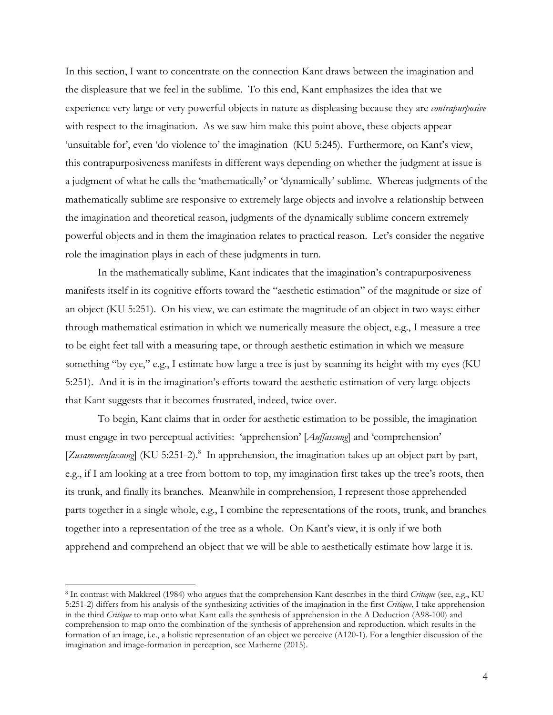In this section, I want to concentrate on the connection Kant draws between the imagination and the displeasure that we feel in the sublime. To this end, Kant emphasizes the idea that we experience very large or very powerful objects in nature as displeasing because they are *contrapurposive* with respect to the imagination. As we saw him make this point above, these objects appear 'unsuitable for', even 'do violence to' the imagination (KU 5:245). Furthermore, on Kant's view, this contrapurposiveness manifests in different ways depending on whether the judgment at issue is a judgment of what he calls the 'mathematically' or 'dynamically' sublime. Whereas judgments of the mathematically sublime are responsive to extremely large objects and involve a relationship between the imagination and theoretical reason, judgments of the dynamically sublime concern extremely powerful objects and in them the imagination relates to practical reason. Let's consider the negative role the imagination plays in each of these judgments in turn.

In the mathematically sublime, Kant indicates that the imagination's contrapurposiveness manifests itself in its cognitive efforts toward the "aesthetic estimation" of the magnitude or size of an object (KU 5:251). On his view, we can estimate the magnitude of an object in two ways: either through mathematical estimation in which we numerically measure the object, e.g., I measure a tree to be eight feet tall with a measuring tape, or through aesthetic estimation in which we measure something "by eye," e.g., I estimate how large a tree is just by scanning its height with my eyes (KU 5:251). And it is in the imagination's efforts toward the aesthetic estimation of very large objects that Kant suggests that it becomes frustrated, indeed, twice over.

To begin, Kant claims that in order for aesthetic estimation to be possible, the imagination must engage in two perceptual activities: 'apprehension' [*Auffassung*] and 'comprehension' [Zusammenfassung] (KU 5:251-2).<sup>8</sup> In apprehension, the imagination takes up an object part by part, e.g., if I am looking at a tree from bottom to top, my imagination first takes up the tree's roots, then its trunk, and finally its branches. Meanwhile in comprehension, I represent those apprehended parts together in a single whole, e.g., I combine the representations of the roots, trunk, and branches together into a representation of the tree as a whole. On Kant's view, it is only if we both apprehend and comprehend an object that we will be able to aesthetically estimate how large it is.

 <sup>8</sup> In contrast with Makkreel (1984) who argues that the comprehension Kant describes in the third *Critique* (see, e.g., KU 5:251-2) differs from his analysis of the synthesizing activities of the imagination in the first *Critique*, I take apprehension in the third *Critique* to map onto what Kant calls the synthesis of apprehension in the A Deduction (A98-100) and comprehension to map onto the combination of the synthesis of apprehension and reproduction, which results in the formation of an image, i.e., a holistic representation of an object we perceive (A120-1). For a lengthier discussion of the imagination and image-formation in perception, see Matherne (2015).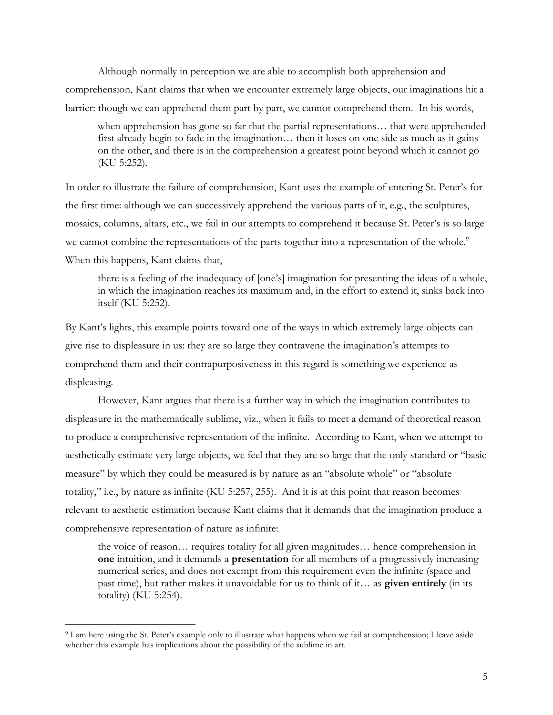Although normally in perception we are able to accomplish both apprehension and comprehension, Kant claims that when we encounter extremely large objects, our imaginations hit a barrier: though we can apprehend them part by part, we cannot comprehend them. In his words,

when apprehension has gone so far that the partial representations… that were apprehended first already begin to fade in the imagination… then it loses on one side as much as it gains on the other, and there is in the comprehension a greatest point beyond which it cannot go (KU 5:252).

In order to illustrate the failure of comprehension, Kant uses the example of entering St. Peter's for the first time: although we can successively apprehend the various parts of it, e.g., the sculptures, mosaics, columns, altars, etc., we fail in our attempts to comprehend it because St. Peter's is so large we cannot combine the representations of the parts together into a representation of the whole.<sup>9</sup> When this happens, Kant claims that,

there is a feeling of the inadequacy of [one's] imagination for presenting the ideas of a whole, in which the imagination reaches its maximum and, in the effort to extend it, sinks back into itself (KU 5:252).

By Kant's lights, this example points toward one of the ways in which extremely large objects can give rise to displeasure in us: they are so large they contravene the imagination's attempts to comprehend them and their contrapurposiveness in this regard is something we experience as displeasing.

However, Kant argues that there is a further way in which the imagination contributes to displeasure in the mathematically sublime, viz., when it fails to meet a demand of theoretical reason to produce a comprehensive representation of the infinite. According to Kant, when we attempt to aesthetically estimate very large objects, we feel that they are so large that the only standard or "basic measure" by which they could be measured is by nature as an "absolute whole" or "absolute totality," i.e., by nature as infinite (KU 5:257, 255). And it is at this point that reason becomes relevant to aesthetic estimation because Kant claims that it demands that the imagination produce a comprehensive representation of nature as infinite:

the voice of reason… requires totality for all given magnitudes… hence comprehension in **one** intuition, and it demands a **presentation** for all members of a progressively increasing numerical series, and does not exempt from this requirement even the infinite (space and past time), but rather makes it unavoidable for us to think of it… as **given entirely** (in its totality) (KU 5:254).

 <sup>9</sup> I am here using the St. Peter's example only to illustrate what happens when we fail at comprehension; I leave aside whether this example has implications about the possibility of the sublime in art.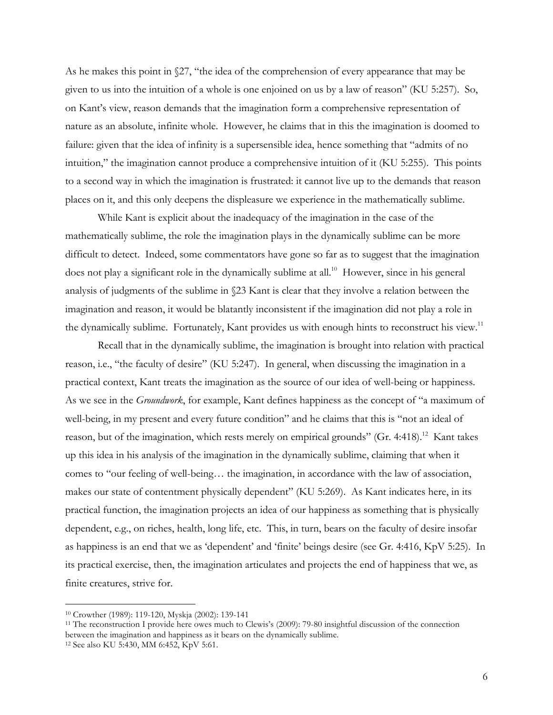As he makes this point in  $\sqrt{27}$ , "the idea of the comprehension of every appearance that may be given to us into the intuition of a whole is one enjoined on us by a law of reason" (KU 5:257). So, on Kant's view, reason demands that the imagination form a comprehensive representation of nature as an absolute, infinite whole. However, he claims that in this the imagination is doomed to failure: given that the idea of infinity is a supersensible idea, hence something that "admits of no intuition," the imagination cannot produce a comprehensive intuition of it (KU 5:255). This points to a second way in which the imagination is frustrated: it cannot live up to the demands that reason places on it, and this only deepens the displeasure we experience in the mathematically sublime.

While Kant is explicit about the inadequacy of the imagination in the case of the mathematically sublime, the role the imagination plays in the dynamically sublime can be more difficult to detect. Indeed, some commentators have gone so far as to suggest that the imagination does not play a significant role in the dynamically sublime at all.<sup>10</sup> However, since in his general analysis of judgments of the sublime in §23 Kant is clear that they involve a relation between the imagination and reason, it would be blatantly inconsistent if the imagination did not play a role in the dynamically sublime. Fortunately, Kant provides us with enough hints to reconstruct his view.<sup>11</sup>

Recall that in the dynamically sublime, the imagination is brought into relation with practical reason, i.e., "the faculty of desire" (KU 5:247). In general, when discussing the imagination in a practical context, Kant treats the imagination as the source of our idea of well-being or happiness. As we see in the *Groundwork*, for example, Kant defines happiness as the concept of "a maximum of well-being, in my present and every future condition" and he claims that this is "not an ideal of reason, but of the imagination, which rests merely on empirical grounds" (Gr. 4:418).<sup>12</sup> Kant takes up this idea in his analysis of the imagination in the dynamically sublime, claiming that when it comes to "our feeling of well-being… the imagination, in accordance with the law of association, makes our state of contentment physically dependent" (KU 5:269). As Kant indicates here, in its practical function, the imagination projects an idea of our happiness as something that is physically dependent, e.g., on riches, health, long life, etc. This, in turn, bears on the faculty of desire insofar as happiness is an end that we as 'dependent' and 'finite' beings desire (see Gr. 4:416, KpV 5:25). In its practical exercise, then, the imagination articulates and projects the end of happiness that we, as finite creatures, strive for.

<sup>&</sup>lt;sup>10</sup> Crowther (1989): 119-120, Myskja (2002): 139-141<br><sup>11</sup> The reconstruction I provide here owes much to Clewis's (2009): 79-80 insightful discussion of the connection between the imagination and happiness as it bears on the dynamically sublime.

<sup>12</sup> See also KU 5:430, MM 6:452, KpV 5:61.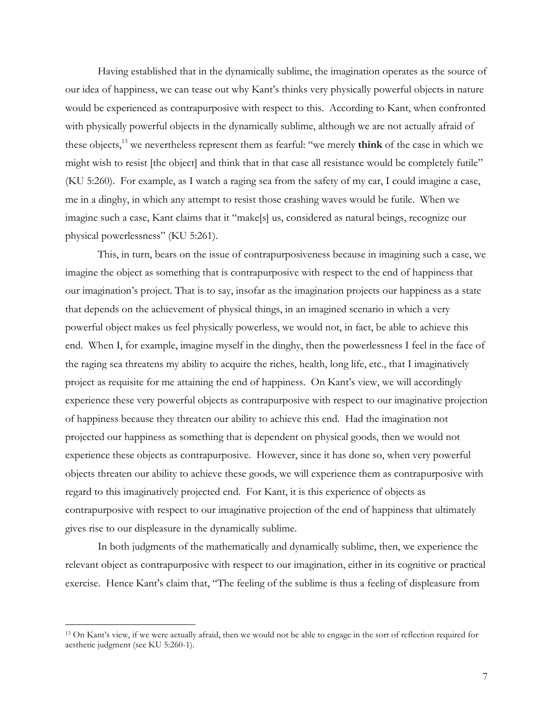Having established that in the dynamically sublime, the imagination operates as the source of our idea of happiness, we can tease out why Kant's thinks very physically powerful objects in nature would be experienced as contrapurposive with respect to this. According to Kant, when confronted with physically powerful objects in the dynamically sublime, although we are not actually afraid of these objects,13 we nevertheless represent them as fearful: "we merely **think** of the case in which we might wish to resist [the object] and think that in that case all resistance would be completely futile" (KU 5:260). For example, as I watch a raging sea from the safety of my car, I could imagine a case, me in a dinghy, in which any attempt to resist those crashing waves would be futile. When we imagine such a case, Kant claims that it "make[s] us, considered as natural beings, recognize our physical powerlessness" (KU 5:261).

This, in turn, bears on the issue of contrapurposiveness because in imagining such a case, we imagine the object as something that is contrapurposive with respect to the end of happiness that our imagination's project. That is to say, insofar as the imagination projects our happiness as a state that depends on the achievement of physical things, in an imagined scenario in which a very powerful object makes us feel physically powerless, we would not, in fact, be able to achieve this end. When I, for example, imagine myself in the dinghy, then the powerlessness I feel in the face of the raging sea threatens my ability to acquire the riches, health, long life, etc., that I imaginatively project as requisite for me attaining the end of happiness. On Kant's view, we will accordingly experience these very powerful objects as contrapurposive with respect to our imaginative projection of happiness because they threaten our ability to achieve this end. Had the imagination not projected our happiness as something that is dependent on physical goods, then we would not experience these objects as contrapurposive. However, since it has done so, when very powerful objects threaten our ability to achieve these goods, we will experience them as contrapurposive with regard to this imaginatively projected end. For Kant, it is this experience of objects as contrapurposive with respect to our imaginative projection of the end of happiness that ultimately gives rise to our displeasure in the dynamically sublime.

In both judgments of the mathematically and dynamically sublime, then, we experience the relevant object as contrapurposive with respect to our imagination, either in its cognitive or practical exercise. Hence Kant's claim that, "The feeling of the sublime is thus a feeling of displeasure from

<sup>&</sup>lt;sup>13</sup> On Kant's view, if we were actually afraid, then we would not be able to engage in the sort of reflection required for aesthetic judgment (see KU 5:260-1).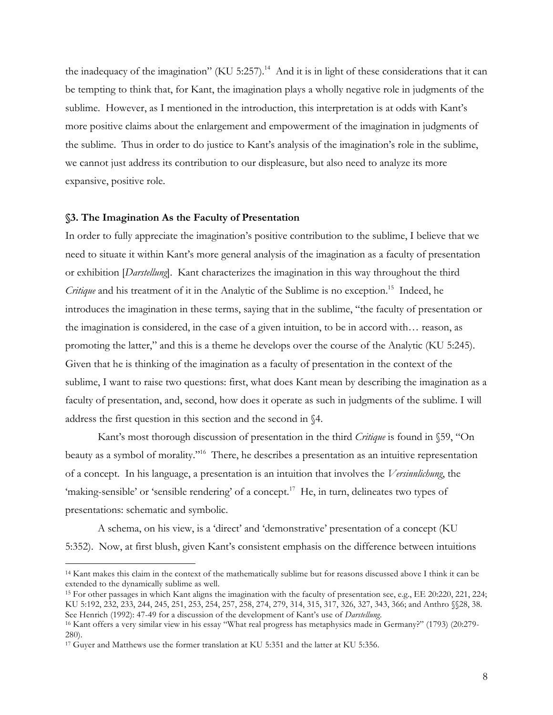the inadequacy of the imagination" (KU 5:257).<sup>14</sup> And it is in light of these considerations that it can be tempting to think that, for Kant, the imagination plays a wholly negative role in judgments of the sublime. However, as I mentioned in the introduction, this interpretation is at odds with Kant's more positive claims about the enlargement and empowerment of the imagination in judgments of the sublime. Thus in order to do justice to Kant's analysis of the imagination's role in the sublime, we cannot just address its contribution to our displeasure, but also need to analyze its more expansive, positive role.

#### **§3. The Imagination As the Faculty of Presentation**

In order to fully appreciate the imagination's positive contribution to the sublime, I believe that we need to situate it within Kant's more general analysis of the imagination as a faculty of presentation or exhibition [*Darstellung*]. Kant characterizes the imagination in this way throughout the third *Critique* and his treatment of it in the Analytic of the Sublime is no exception.<sup>15</sup> Indeed, he introduces the imagination in these terms, saying that in the sublime, "the faculty of presentation or the imagination is considered, in the case of a given intuition, to be in accord with… reason, as promoting the latter," and this is a theme he develops over the course of the Analytic (KU 5:245). Given that he is thinking of the imagination as a faculty of presentation in the context of the sublime, I want to raise two questions: first, what does Kant mean by describing the imagination as a faculty of presentation, and, second, how does it operate as such in judgments of the sublime. I will address the first question in this section and the second in §4.

Kant's most thorough discussion of presentation in the third *Critique* is found in §59, "On beauty as a symbol of morality."<sup>16</sup> There, he describes a presentation as an intuitive representation of a concept. In his language, a presentation is an intuition that involves the *Versinnlichung*, the 'making-sensible' or 'sensible rendering' of a concept.<sup>17</sup> He, in turn, delineates two types of presentations: schematic and symbolic.

A schema, on his view, is a 'direct' and 'demonstrative' presentation of a concept (KU 5:352). Now, at first blush, given Kant's consistent emphasis on the difference between intuitions

 <sup>14</sup> Kant makes this claim in the context of the mathematically sublime but for reasons discussed above I think it can be extended to the dynamically sublime as well.

<sup>15</sup> For other passages in which Kant aligns the imagination with the faculty of presentation see, e.g., EE 20:220, 221, 224; KU 5:192, 232, 233, 244, 245, 251, 253, 254, 257, 258, 274, 279, 314, 315, 317, 326, 327, 343, 366; and Anthro §§28, 38. See Henrich (1992): 47-49 for a discussion of the development of Kant's use of *Darstellung*.<br><sup>16</sup> Kant offers a very similar view in his essay "What real progress has metaphysics made in Germany?" (1793) (20:279-

<sup>280).</sup> 

<sup>&</sup>lt;sup>17</sup> Guyer and Matthews use the former translation at KU 5:351 and the latter at KU 5:356.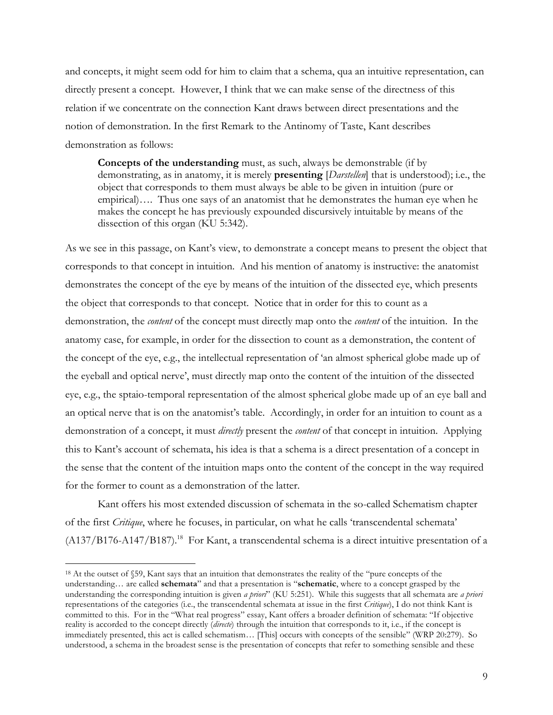and concepts, it might seem odd for him to claim that a schema, qua an intuitive representation, can directly present a concept. However, I think that we can make sense of the directness of this relation if we concentrate on the connection Kant draws between direct presentations and the notion of demonstration. In the first Remark to the Antinomy of Taste, Kant describes demonstration as follows:

**Concepts of the understanding** must, as such, always be demonstrable (if by demonstrating, as in anatomy, it is merely **presenting** [*Darstellen*] that is understood); i.e., the object that corresponds to them must always be able to be given in intuition (pure or empirical)…. Thus one says of an anatomist that he demonstrates the human eye when he makes the concept he has previously expounded discursively intuitable by means of the dissection of this organ (KU 5:342).

As we see in this passage, on Kant's view, to demonstrate a concept means to present the object that corresponds to that concept in intuition. And his mention of anatomy is instructive: the anatomist demonstrates the concept of the eye by means of the intuition of the dissected eye, which presents the object that corresponds to that concept. Notice that in order for this to count as a demonstration, the *content* of the concept must directly map onto the *content* of the intuition. In the anatomy case, for example, in order for the dissection to count as a demonstration, the content of the concept of the eye, e.g., the intellectual representation of 'an almost spherical globe made up of the eyeball and optical nerve', must directly map onto the content of the intuition of the dissected eye, e.g., the sptaio-temporal representation of the almost spherical globe made up of an eye ball and an optical nerve that is on the anatomist's table. Accordingly, in order for an intuition to count as a demonstration of a concept, it must *directly* present the *content* of that concept in intuition. Applying this to Kant's account of schemata, his idea is that a schema is a direct presentation of a concept in the sense that the content of the intuition maps onto the content of the concept in the way required for the former to count as a demonstration of the latter.

Kant offers his most extended discussion of schemata in the so-called Schematism chapter of the first *Critique*, where he focuses, in particular, on what he calls 'transcendental schemata'  $(A137/B176-A147/B187).$ <sup>18</sup> For Kant, a transcendental schema is a direct intuitive presentation of a

 <sup>18</sup> At the outset of §59, Kant says that an intuition that demonstrates the reality of the "pure concepts of the understanding… are called **schemata**" and that a presentation is "**schematic**, where to a concept grasped by the understanding the corresponding intuition is given *a priori*" (KU 5:251). While this suggests that all schemata are *a priori*  representations of the categories (i.e., the transcendental schemata at issue in the first *Critique*), I do not think Kant is committed to this. For in the "What real progress" essay, Kant offers a broader definition of schemata: "If objective reality is accorded to the concept directly (*directe*) through the intuition that corresponds to it, i.e., if the concept is immediately presented, this act is called schematism… [This] occurs with concepts of the sensible" (WRP 20:279). So understood, a schema in the broadest sense is the presentation of concepts that refer to something sensible and these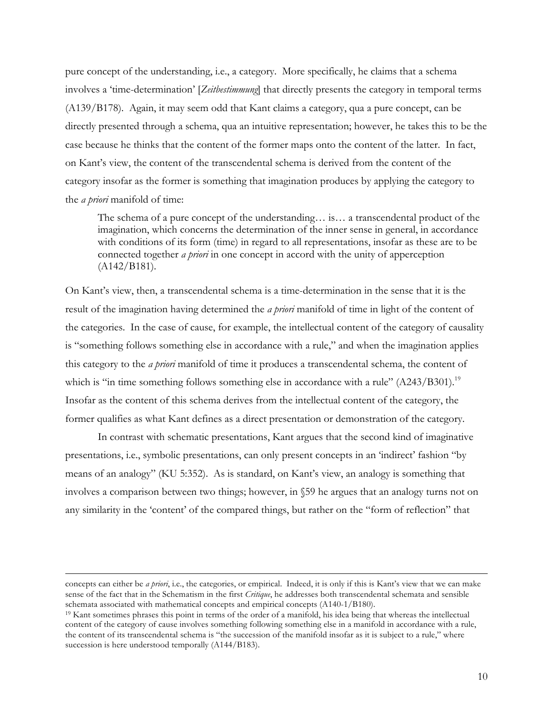pure concept of the understanding, i.e., a category. More specifically, he claims that a schema involves a 'time-determination' [*Zeitbestimmung*] that directly presents the category in temporal terms (A139/B178). Again, it may seem odd that Kant claims a category, qua a pure concept, can be directly presented through a schema, qua an intuitive representation; however, he takes this to be the case because he thinks that the content of the former maps onto the content of the latter. In fact, on Kant's view, the content of the transcendental schema is derived from the content of the category insofar as the former is something that imagination produces by applying the category to the *a priori* manifold of time:

The schema of a pure concept of the understanding… is… a transcendental product of the imagination, which concerns the determination of the inner sense in general, in accordance with conditions of its form (time) in regard to all representations, insofar as these are to be connected together *a priori* in one concept in accord with the unity of apperception (A142/B181).

On Kant's view, then, a transcendental schema is a time-determination in the sense that it is the result of the imagination having determined the *a priori* manifold of time in light of the content of the categories. In the case of cause, for example, the intellectual content of the category of causality is "something follows something else in accordance with a rule," and when the imagination applies this category to the *a priori* manifold of time it produces a transcendental schema, the content of which is "in time something follows something else in accordance with a rule" (A243/B301).<sup>19</sup> Insofar as the content of this schema derives from the intellectual content of the category, the former qualifies as what Kant defines as a direct presentation or demonstration of the category.

In contrast with schematic presentations, Kant argues that the second kind of imaginative presentations, i.e., symbolic presentations, can only present concepts in an 'indirect' fashion "by means of an analogy" (KU 5:352). As is standard, on Kant's view, an analogy is something that involves a comparison between two things; however, in §59 he argues that an analogy turns not on any similarity in the 'content' of the compared things, but rather on the "form of reflection" that

concepts can either be *a priori*, i.e., the categories, or empirical. Indeed, it is only if this is Kant's view that we can make sense of the fact that in the Schematism in the first *Critique*, he addresses both transcendental schemata and sensible schemata associated with mathematical concepts and empirical concepts (A140-1/B180).<br><sup>19</sup> Kant sometimes phrases this point in terms of the order of a manifold, his idea being that whereas the intellectual

content of the category of cause involves something following something else in a manifold in accordance with a rule, the content of its transcendental schema is "the succession of the manifold insofar as it is subject to a rule," where succession is here understood temporally (A144/B183).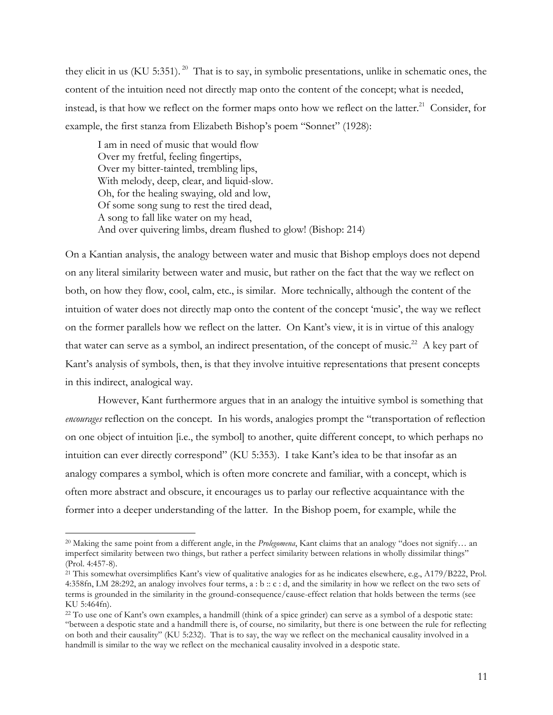they elicit in us (KU 5:351). 20 That is to say, in symbolic presentations, unlike in schematic ones, the content of the intuition need not directly map onto the content of the concept; what is needed, instead, is that how we reflect on the former maps onto how we reflect on the latter.<sup>21</sup> Consider, for example, the first stanza from Elizabeth Bishop's poem "Sonnet" (1928):

I am in need of music that would flow Over my fretful, feeling fingertips, Over my bitter-tainted, trembling lips, With melody, deep, clear, and liquid-slow. Oh, for the healing swaying, old and low, Of some song sung to rest the tired dead, A song to fall like water on my head, And over quivering limbs, dream flushed to glow! (Bishop: 214)

On a Kantian analysis, the analogy between water and music that Bishop employs does not depend on any literal similarity between water and music, but rather on the fact that the way we reflect on both, on how they flow, cool, calm, etc., is similar. More technically, although the content of the intuition of water does not directly map onto the content of the concept 'music', the way we reflect on the former parallels how we reflect on the latter. On Kant's view, it is in virtue of this analogy that water can serve as a symbol, an indirect presentation, of the concept of music.<sup>22</sup> A key part of Kant's analysis of symbols, then, is that they involve intuitive representations that present concepts in this indirect, analogical way.

However, Kant furthermore argues that in an analogy the intuitive symbol is something that *encourages* reflection on the concept. In his words, analogies prompt the "transportation of reflection on one object of intuition [i.e., the symbol] to another, quite different concept, to which perhaps no intuition can ever directly correspond" (KU 5:353). I take Kant's idea to be that insofar as an analogy compares a symbol, which is often more concrete and familiar, with a concept, which is often more abstract and obscure, it encourages us to parlay our reflective acquaintance with the former into a deeper understanding of the latter. In the Bishop poem, for example, while the

 <sup>20</sup> Making the same point from a different angle, in the *Prolegomena*, Kant claims that an analogy "does not signify… an imperfect similarity between two things, but rather a perfect similarity between relations in wholly dissimilar things" (Prol. 4:457-8). 21 This somewhat oversimplifies Kant's view of qualitative analogies for as he indicates elsewhere, e.g., A179/B222, Prol.

<sup>4:358</sup>fn, LM 28:292, an analogy involves four terms, a : b :: c : d, and the similarity in how we reflect on the two sets of terms is grounded in the similarity in the ground-consequence/cause-effect relation that holds between the terms (see KU 5:464fn).

<sup>22</sup> To use one of Kant's own examples, a handmill (think of a spice grinder) can serve as a symbol of a despotic state: "between a despotic state and a handmill there is, of course, no similarity, but there is one between the rule for reflecting on both and their causality" (KU 5:232). That is to say, the way we reflect on the mechanical causality involved in a handmill is similar to the way we reflect on the mechanical causality involved in a despotic state.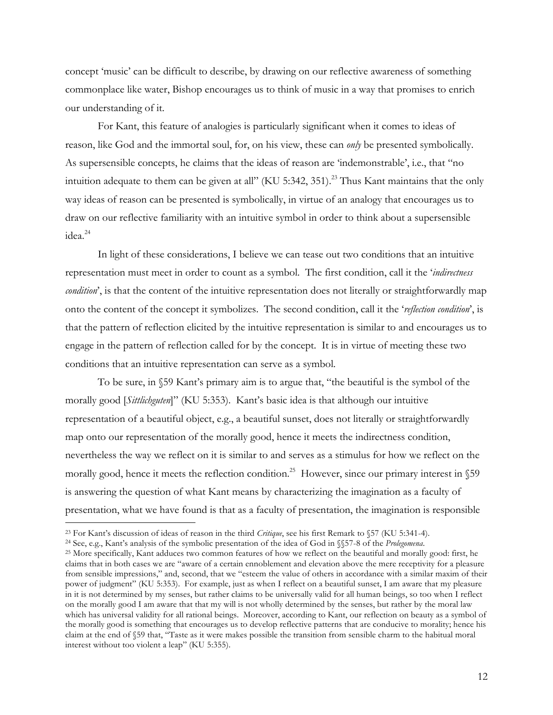concept 'music' can be difficult to describe, by drawing on our reflective awareness of something commonplace like water, Bishop encourages us to think of music in a way that promises to enrich our understanding of it.

For Kant, this feature of analogies is particularly significant when it comes to ideas of reason, like God and the immortal soul, for, on his view, these can *only* be presented symbolically. As supersensible concepts, he claims that the ideas of reason are 'indemonstrable', i.e., that "no intuition adequate to them can be given at all" (KU 5:342, 351).<sup>23</sup> Thus Kant maintains that the only way ideas of reason can be presented is symbolically, in virtue of an analogy that encourages us to draw on our reflective familiarity with an intuitive symbol in order to think about a supersensible idea.24

In light of these considerations, I believe we can tease out two conditions that an intuitive representation must meet in order to count as a symbol. The first condition, call it the '*indirectness condition*', is that the content of the intuitive representation does not literally or straightforwardly map onto the content of the concept it symbolizes. The second condition, call it the '*reflection condition*', is that the pattern of reflection elicited by the intuitive representation is similar to and encourages us to engage in the pattern of reflection called for by the concept. It is in virtue of meeting these two conditions that an intuitive representation can serve as a symbol.

To be sure, in §59 Kant's primary aim is to argue that, "the beautiful is the symbol of the morally good [*Sittlichguten*]" (KU 5:353). Kant's basic idea is that although our intuitive representation of a beautiful object, e.g., a beautiful sunset, does not literally or straightforwardly map onto our representation of the morally good, hence it meets the indirectness condition, nevertheless the way we reflect on it is similar to and serves as a stimulus for how we reflect on the morally good, hence it meets the reflection condition.<sup>25</sup> However, since our primary interest in \[59] is answering the question of what Kant means by characterizing the imagination as a faculty of presentation, what we have found is that as a faculty of presentation, the imagination is responsible

<sup>&</sup>lt;sup>23</sup> For Kant's discussion of ideas of reason in the third *Critique*, see his first Remark to §57 (KU 5:341-4).<br><sup>24</sup> See, e.g., Kant's analysis of the symbolic presentation of the idea of God in §§57-8 of the *Prolegomena* 

claims that in both cases we are "aware of a certain ennoblement and elevation above the mere receptivity for a pleasure from sensible impressions," and, second, that we "esteem the value of others in accordance with a similar maxim of their power of judgment" (KU 5:353). For example, just as when I reflect on a beautiful sunset, I am aware that my pleasure in it is not determined by my senses, but rather claims to be universally valid for all human beings, so too when I reflect on the morally good I am aware that that my will is not wholly determined by the senses, but rather by the moral law which has universal validity for all rational beings. Moreover, according to Kant, our reflection on beauty as a symbol of the morally good is something that encourages us to develop reflective patterns that are conducive to morality; hence his claim at the end of §59 that, "Taste as it were makes possible the transition from sensible charm to the habitual moral interest without too violent a leap" (KU 5:355).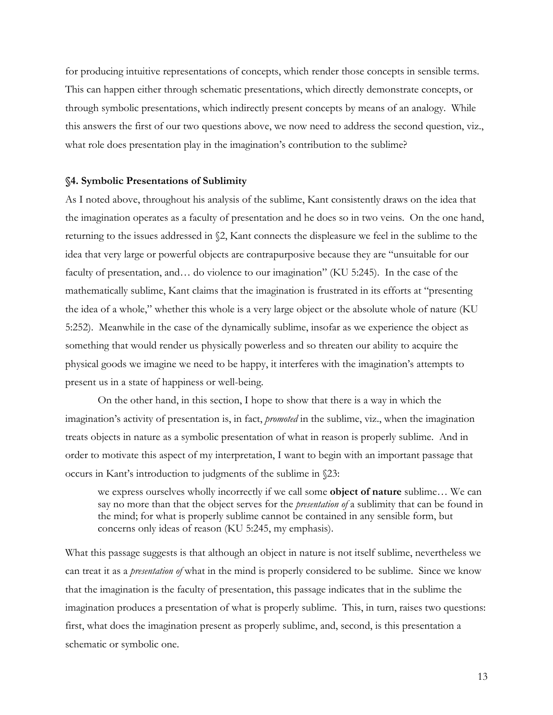for producing intuitive representations of concepts, which render those concepts in sensible terms. This can happen either through schematic presentations, which directly demonstrate concepts, or through symbolic presentations, which indirectly present concepts by means of an analogy. While this answers the first of our two questions above, we now need to address the second question, viz., what role does presentation play in the imagination's contribution to the sublime?

### **§4. Symbolic Presentations of Sublimity**

As I noted above, throughout his analysis of the sublime, Kant consistently draws on the idea that the imagination operates as a faculty of presentation and he does so in two veins. On the one hand, returning to the issues addressed in §2, Kant connects the displeasure we feel in the sublime to the idea that very large or powerful objects are contrapurposive because they are "unsuitable for our faculty of presentation, and… do violence to our imagination" (KU 5:245). In the case of the mathematically sublime, Kant claims that the imagination is frustrated in its efforts at "presenting the idea of a whole," whether this whole is a very large object or the absolute whole of nature (KU 5:252). Meanwhile in the case of the dynamically sublime, insofar as we experience the object as something that would render us physically powerless and so threaten our ability to acquire the physical goods we imagine we need to be happy, it interferes with the imagination's attempts to present us in a state of happiness or well-being.

On the other hand, in this section, I hope to show that there is a way in which the imagination's activity of presentation is, in fact, *promoted* in the sublime, viz., when the imagination treats objects in nature as a symbolic presentation of what in reason is properly sublime. And in order to motivate this aspect of my interpretation, I want to begin with an important passage that occurs in Kant's introduction to judgments of the sublime in §23:

we express ourselves wholly incorrectly if we call some **object of nature** sublime… We can say no more than that the object serves for the *presentation of* a sublimity that can be found in the mind; for what is properly sublime cannot be contained in any sensible form, but concerns only ideas of reason (KU 5:245, my emphasis).

What this passage suggests is that although an object in nature is not itself sublime, nevertheless we can treat it as a *presentation of* what in the mind is properly considered to be sublime. Since we know that the imagination is the faculty of presentation, this passage indicates that in the sublime the imagination produces a presentation of what is properly sublime. This, in turn, raises two questions: first, what does the imagination present as properly sublime, and, second, is this presentation a schematic or symbolic one.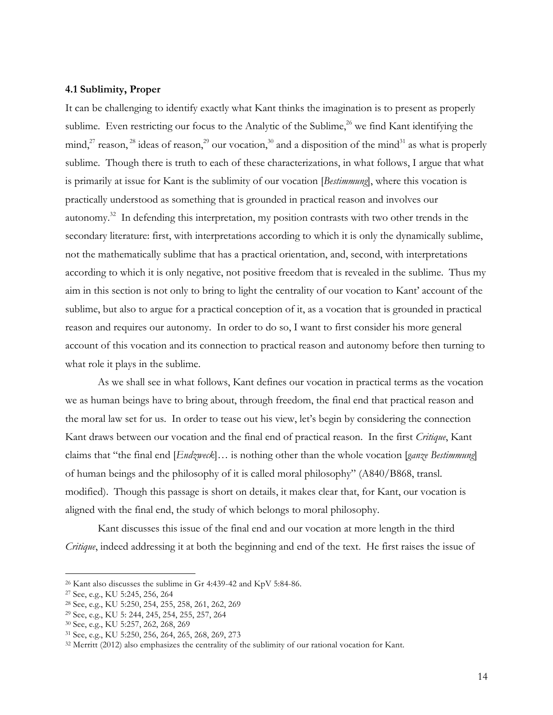## **4.1 Sublimity, Proper**

It can be challenging to identify exactly what Kant thinks the imagination is to present as properly sublime. Even restricting our focus to the Analytic of the Sublime,  $^{26}$  we find Kant identifying the mind,<sup>27</sup> reason, <sup>28</sup> ideas of reason,<sup>29</sup> our vocation,<sup>30</sup> and a disposition of the mind<sup>31</sup> as what is properly sublime. Though there is truth to each of these characterizations, in what follows, I argue that what is primarily at issue for Kant is the sublimity of our vocation [*Bestimmung*], where this vocation is practically understood as something that is grounded in practical reason and involves our autonomy.<sup>32</sup> In defending this interpretation, my position contrasts with two other trends in the secondary literature: first, with interpretations according to which it is only the dynamically sublime, not the mathematically sublime that has a practical orientation, and, second, with interpretations according to which it is only negative, not positive freedom that is revealed in the sublime. Thus my aim in this section is not only to bring to light the centrality of our vocation to Kant' account of the sublime, but also to argue for a practical conception of it, as a vocation that is grounded in practical reason and requires our autonomy. In order to do so, I want to first consider his more general account of this vocation and its connection to practical reason and autonomy before then turning to what role it plays in the sublime.

As we shall see in what follows, Kant defines our vocation in practical terms as the vocation we as human beings have to bring about, through freedom, the final end that practical reason and the moral law set for us. In order to tease out his view, let's begin by considering the connection Kant draws between our vocation and the final end of practical reason. In the first *Critique*, Kant claims that "the final end [*Endzweck*]… is nothing other than the whole vocation [*ganze Bestimmung*] of human beings and the philosophy of it is called moral philosophy" (A840/B868, transl. modified). Though this passage is short on details, it makes clear that, for Kant, our vocation is aligned with the final end, the study of which belongs to moral philosophy.

Kant discusses this issue of the final end and our vocation at more length in the third *Critique*, indeed addressing it at both the beginning and end of the text. He first raises the issue of

 <sup>26</sup> Kant also discusses the sublime in Gr 4:439-42 and KpV 5:84-86.

<sup>27</sup> See, e.g., KU 5:245, 256, 264

<sup>28</sup> See, e.g., KU 5:250, 254, 255, 258, 261, 262, 269

<sup>29</sup> See, e.g., KU 5: 244, 245, 254, 255, 257, 264

<sup>30</sup> See, e.g., KU 5:257, 262, 268, 269

<sup>31</sup> See, e.g., KU 5:250, 256, 264, 265, 268, 269, 273

<sup>32</sup> Merritt (2012) also emphasizes the centrality of the sublimity of our rational vocation for Kant.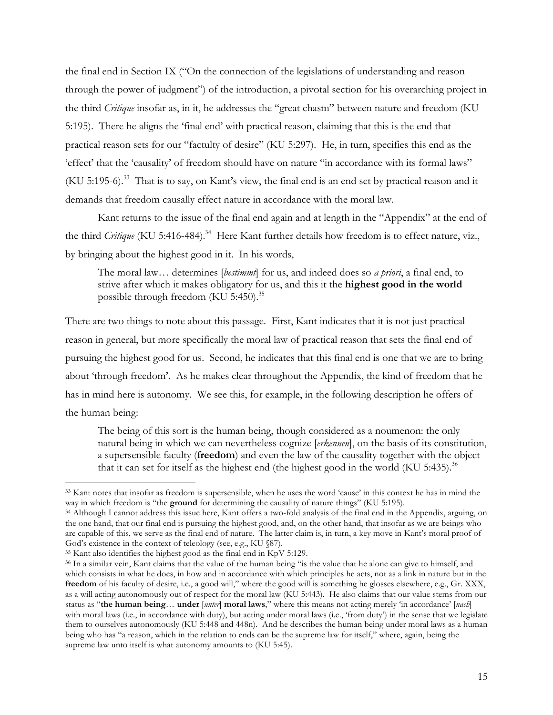the final end in Section IX ("On the connection of the legislations of understanding and reason through the power of judgment") of the introduction, a pivotal section for his overarching project in the third *Critique* insofar as, in it, he addresses the "great chasm" between nature and freedom (KU 5:195). There he aligns the 'final end' with practical reason, claiming that this is the end that practical reason sets for our "factulty of desire" (KU 5:297). He, in turn, specifies this end as the 'effect' that the 'causality' of freedom should have on nature "in accordance with its formal laws" (KU 5:195-6).33 That is to say, on Kant's view, the final end is an end set by practical reason and it demands that freedom causally effect nature in accordance with the moral law.

Kant returns to the issue of the final end again and at length in the "Appendix" at the end of the third *Critique* (KU 5:416-484).<sup>34</sup> Here Kant further details how freedom is to effect nature, viz., by bringing about the highest good in it. In his words,

The moral law… determines [*bestimmt*] for us, and indeed does so *a priori*, a final end, to strive after which it makes obligatory for us, and this it the **highest good in the world**  possible through freedom (KU 5:450).<sup>35</sup>

There are two things to note about this passage. First, Kant indicates that it is not just practical reason in general, but more specifically the moral law of practical reason that sets the final end of pursuing the highest good for us. Second, he indicates that this final end is one that we are to bring about 'through freedom'. As he makes clear throughout the Appendix, the kind of freedom that he has in mind here is autonomy. We see this, for example, in the following description he offers of the human being:

The being of this sort is the human being, though considered as a noumenon: the only natural being in which we can nevertheless cognize [*erkennen*], on the basis of its constitution, a supersensible faculty (**freedom**) and even the law of the causality together with the object that it can set for itself as the highest end (the highest good in the world (KU 5:435).<sup>36</sup>

 <sup>33</sup> Kant notes that insofar as freedom is supersensible, when he uses the word 'cause' in this context he has in mind the way in which freedom is "the **ground** for determining the causality of nature things" (KU 5:195).

<sup>34</sup> Although I cannot address this issue here, Kant offers a two-fold analysis of the final end in the Appendix, arguing, on the one hand, that our final end is pursuing the highest good, and, on the other hand, that insofar as we are beings who are capable of this, we serve as the final end of nature. The latter claim is, in turn, a key move in Kant's moral proof of God's existence in the context of teleology (see, e.g., KU  $\$ 87).

<sup>35</sup> Kant also identifies the highest good as the final end in KpV 5:129.

<sup>36</sup> In a similar vein, Kant claims that the value of the human being "is the value that he alone can give to himself, and which consists in what he does, in how and in accordance with which principles he acts, not as a link in nature but in the **freedom** of his faculty of desire, i.e., a good will," where the good will is something he glosses elsewhere, e.g., Gr. XXX, as a will acting autonomously out of respect for the moral law (KU 5:443). He also claims that our value stems from our status as "**the human being**… **under** [*unter*] **moral laws**," where this means not acting merely 'in accordance' [*nach*] with moral laws (i.e., in accordance with duty), but acting under moral laws (i.e., 'from duty') in the sense that we legislate them to ourselves autonomously (KU 5:448 and 448n). And he describes the human being under moral laws as a human being who has "a reason, which in the relation to ends can be the supreme law for itself," where, again, being the supreme law unto itself is what autonomy amounts to (KU 5:45).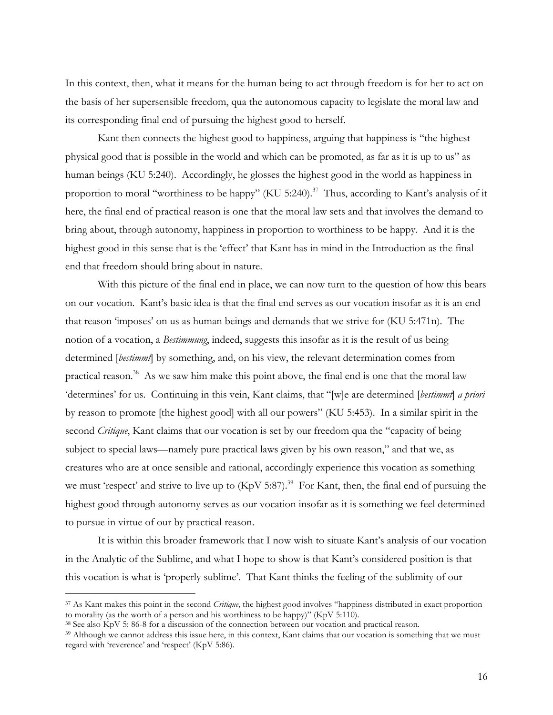In this context, then, what it means for the human being to act through freedom is for her to act on the basis of her supersensible freedom, qua the autonomous capacity to legislate the moral law and its corresponding final end of pursuing the highest good to herself.

Kant then connects the highest good to happiness, arguing that happiness is "the highest physical good that is possible in the world and which can be promoted, as far as it is up to us" as human beings (KU 5:240). Accordingly, he glosses the highest good in the world as happiness in proportion to moral "worthiness to be happy" (KU 5:240).<sup>37</sup> Thus, according to Kant's analysis of it here, the final end of practical reason is one that the moral law sets and that involves the demand to bring about, through autonomy, happiness in proportion to worthiness to be happy. And it is the highest good in this sense that is the 'effect' that Kant has in mind in the Introduction as the final end that freedom should bring about in nature.

With this picture of the final end in place, we can now turn to the question of how this bears on our vocation. Kant's basic idea is that the final end serves as our vocation insofar as it is an end that reason 'imposes' on us as human beings and demands that we strive for (KU 5:471n). The notion of a vocation, a *Bestimmung*, indeed, suggests this insofar as it is the result of us being determined [*bestimmt*] by something, and, on his view, the relevant determination comes from practical reason.<sup>38</sup> As we saw him make this point above, the final end is one that the moral law 'determines' for us. Continuing in this vein, Kant claims, that "[w]e are determined [*bestimmt*] *a priori*  by reason to promote [the highest good] with all our powers" (KU 5:453). In a similar spirit in the second *Critique*, Kant claims that our vocation is set by our freedom qua the "capacity of being subject to special laws—namely pure practical laws given by his own reason," and that we, as creatures who are at once sensible and rational, accordingly experience this vocation as something we must 'respect' and strive to live up to (KpV 5:87).<sup>39</sup> For Kant, then, the final end of pursuing the highest good through autonomy serves as our vocation insofar as it is something we feel determined to pursue in virtue of our by practical reason.

It is within this broader framework that I now wish to situate Kant's analysis of our vocation in the Analytic of the Sublime, and what I hope to show is that Kant's considered position is that this vocation is what is 'properly sublime'. That Kant thinks the feeling of the sublimity of our

 <sup>37</sup> As Kant makes this point in the second *Critique*, the highest good involves "happiness distributed in exact proportion to morality (as the worth of a person and his worthiness to be happy)" (KpV 5:110).

<sup>38</sup> See also KpV 5: 86-8 for a discussion of the connection between our vocation and practical reason.

<sup>&</sup>lt;sup>39</sup> Although we cannot address this issue here, in this context, Kant claims that our vocation is something that we must regard with 'reverence' and 'respect' (KpV 5:86).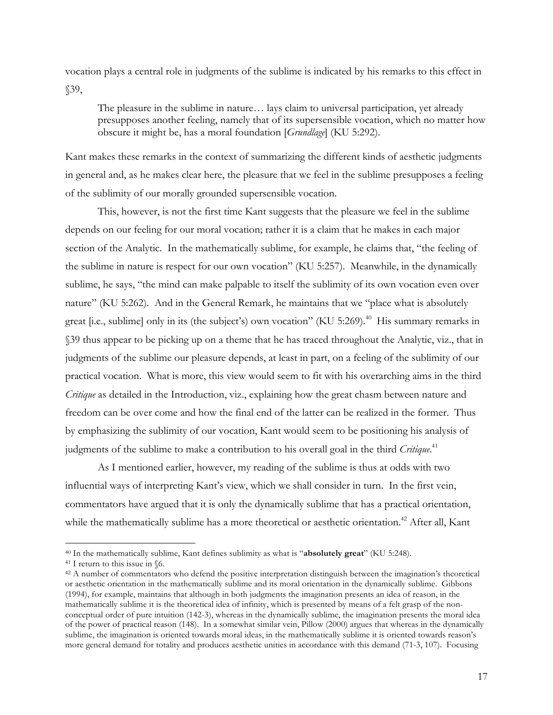vocation plays a central role in judgments of the sublime is indicated by his remarks to this effect in §39,

The pleasure in the sublime in nature… lays claim to universal participation, yet already presupposes another feeling, namely that of its supersensible vocation, which no matter how obscure it might be, has a moral foundation [*Grundlage*] (KU 5:292).

Kant makes these remarks in the context of summarizing the different kinds of aesthetic judgments in general and, as he makes clear here, the pleasure that we feel in the sublime presupposes a feeling of the sublimity of our morally grounded supersensible vocation.

This, however, is not the first time Kant suggests that the pleasure we feel in the sublime depends on our feeling for our moral vocation; rather it is a claim that he makes in each major section of the Analytic. In the mathematically sublime, for example, he claims that, "the feeling of the sublime in nature is respect for our own vocation" (KU 5:257). Meanwhile, in the dynamically sublime, he says, "the mind can make palpable to itself the sublimity of its own vocation even over nature" (KU 5:262). And in the General Remark, he maintains that we "place what is absolutely great [i.e., sublime] only in its (the subject's) own vocation" (KU 5:269).<sup>40</sup> His summary remarks in §39 thus appear to be picking up on a theme that he has traced throughout the Analytic, viz., that in judgments of the sublime our pleasure depends, at least in part, on a feeling of the sublimity of our practical vocation. What is more, this view would seem to fit with his overarching aims in the third *Critique* as detailed in the Introduction, viz., explaining how the great chasm between nature and freedom can be over come and how the final end of the latter can be realized in the former. Thus by emphasizing the sublimity of our vocation, Kant would seem to be positioning his analysis of judgments of the sublime to make a contribution to his overall goal in the third *Critique*. 41

As I mentioned earlier, however, my reading of the sublime is thus at odds with two influential ways of interpreting Kant's view, which we shall consider in turn. In the first vein, commentators have argued that it is only the dynamically sublime that has a practical orientation, while the mathematically sublime has a more theoretical or aesthetic orientation.<sup>42</sup> After all, Kant

<sup>40</sup> In the mathematically sublime, Kant defines sublimity as what is "**absolutely great**" (KU 5:248). 41 I return to this issue in §6.

<sup>42</sup> A number of commentators who defend the positive interpretation distinguish between the imagination's theoretical or aesthetic orientation in the mathematically sublime and its moral orientation in the dynamically sublime. Gibbons (1994), for example, maintains that although in both judgments the imagination presents an idea of reason, in the mathematically sublime it is the theoretical idea of infinity, which is presented by means of a felt grasp of the nonconceptual order of pure intuition (142-3), whereas in the dynamically sublime, the imagination presents the moral idea of the power of practical reason (148). In a somewhat similar vein, Pillow (2000) argues that whereas in the dynamically sublime, the imagination is oriented towards moral ideas, in the mathematically sublime it is oriented towards reason's more general demand for totality and produces aesthetic unities in accordance with this demand (71-3, 107). Focusing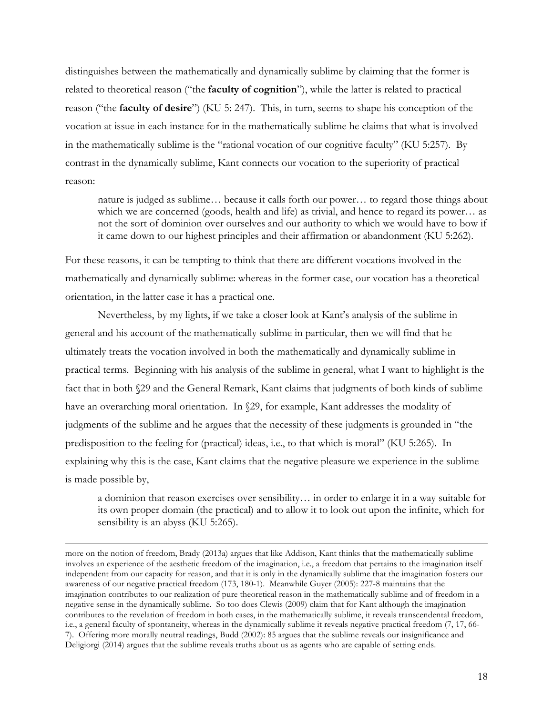distinguishes between the mathematically and dynamically sublime by claiming that the former is related to theoretical reason ("the **faculty of cognition**"), while the latter is related to practical reason ("the **faculty of desire**") (KU 5: 247). This, in turn, seems to shape his conception of the vocation at issue in each instance for in the mathematically sublime he claims that what is involved in the mathematically sublime is the "rational vocation of our cognitive faculty" (KU 5:257). By contrast in the dynamically sublime, Kant connects our vocation to the superiority of practical reason:

nature is judged as sublime… because it calls forth our power… to regard those things about which we are concerned (goods, health and life) as trivial, and hence to regard its power… as not the sort of dominion over ourselves and our authority to which we would have to bow if it came down to our highest principles and their affirmation or abandonment (KU 5:262).

For these reasons, it can be tempting to think that there are different vocations involved in the mathematically and dynamically sublime: whereas in the former case, our vocation has a theoretical orientation, in the latter case it has a practical one.

Nevertheless, by my lights, if we take a closer look at Kant's analysis of the sublime in general and his account of the mathematically sublime in particular, then we will find that he ultimately treats the vocation involved in both the mathematically and dynamically sublime in practical terms. Beginning with his analysis of the sublime in general, what I want to highlight is the fact that in both §29 and the General Remark, Kant claims that judgments of both kinds of sublime have an overarching moral orientation. In §29, for example, Kant addresses the modality of judgments of the sublime and he argues that the necessity of these judgments is grounded in "the predisposition to the feeling for (practical) ideas, i.e., to that which is moral" (KU 5:265). In explaining why this is the case, Kant claims that the negative pleasure we experience in the sublime is made possible by,

a dominion that reason exercises over sensibility… in order to enlarge it in a way suitable for its own proper domain (the practical) and to allow it to look out upon the infinite, which for sensibility is an abyss (KU 5:265).

more on the notion of freedom, Brady (2013a) argues that like Addison, Kant thinks that the mathematically sublime involves an experience of the aesthetic freedom of the imagination, i.e., a freedom that pertains to the imagination itself independent from our capacity for reason, and that it is only in the dynamically sublime that the imagination fosters our awareness of our negative practical freedom (173, 180-1). Meanwhile Guyer (2005): 227-8 maintains that the imagination contributes to our realization of pure theoretical reason in the mathematically sublime and of freedom in a negative sense in the dynamically sublime. So too does Clewis (2009) claim that for Kant although the imagination contributes to the revelation of freedom in both cases, in the mathematically sublime, it reveals transcendental freedom, i.e., a general faculty of spontaneity, whereas in the dynamically sublime it reveals negative practical freedom (7, 17, 66- 7). Offering more morally neutral readings, Budd (2002): 85 argues that the sublime reveals our insignificance and Deligiorgi (2014) argues that the sublime reveals truths about us as agents who are capable of setting ends.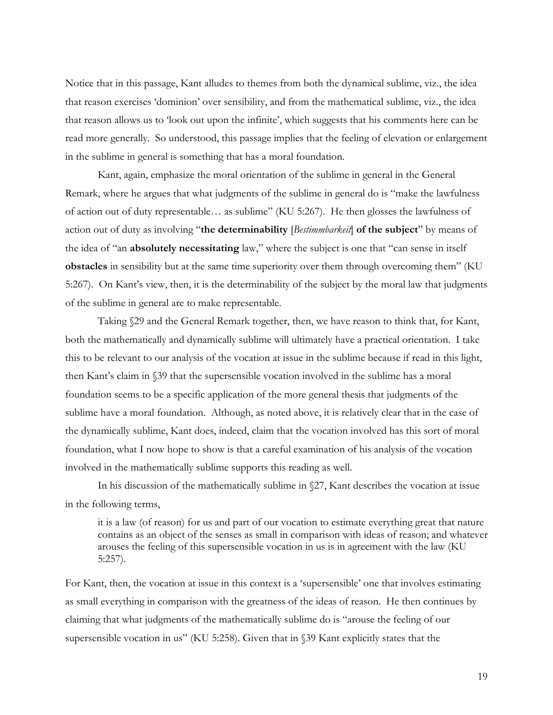Notice that in this passage, Kant alludes to themes from both the dynamical sublime, viz., the idea that reason exercises 'dominion' over sensibility, and from the mathematical sublime, viz., the idea that reason allows us to 'look out upon the infinite', which suggests that his comments here can be read more generally. So understood, this passage implies that the feeling of elevation or enlargement in the sublime in general is something that has a moral foundation.

Kant, again, emphasize the moral orientation of the sublime in general in the General Remark, where he argues that what judgments of the sublime in general do is "make the lawfulness of action out of duty representable… as sublime" (KU 5:267). He then glosses the lawfulness of action out of duty as involving "**the determinability** [*Bestimmbarkeit*] **of the subject**" by means of the idea of "an **absolutely necessitating** law," where the subject is one that "can sense in itself **obstacles** in sensibility but at the same time superiority over them through overcoming them" (KU 5:267). On Kant's view, then, it is the determinability of the subject by the moral law that judgments of the sublime in general are to make representable.

Taking §29 and the General Remark together, then, we have reason to think that, for Kant, both the mathematically and dynamically sublime will ultimately have a practical orientation. I take this to be relevant to our analysis of the vocation at issue in the sublime because if read in this light, then Kant's claim in §39 that the supersensible vocation involved in the sublime has a moral foundation seems to be a specific application of the more general thesis that judgments of the sublime have a moral foundation. Although, as noted above, it is relatively clear that in the case of the dynamically sublime, Kant does, indeed, claim that the vocation involved has this sort of moral foundation, what I now hope to show is that a careful examination of his analysis of the vocation involved in the mathematically sublime supports this reading as well.

In his discussion of the mathematically sublime in §27, Kant describes the vocation at issue in the following terms,

it is a law (of reason) for us and part of our vocation to estimate everything great that nature contains as an object of the senses as small in comparison with ideas of reason; and whatever arouses the feeling of this supersensible vocation in us is in agreement with the law (KU 5:257).

For Kant, then, the vocation at issue in this context is a 'supersensible' one that involves estimating as small everything in comparison with the greatness of the ideas of reason. He then continues by claiming that what judgments of the mathematically sublime do is "arouse the feeling of our supersensible vocation in us" (KU 5:258). Given that in §39 Kant explicitly states that the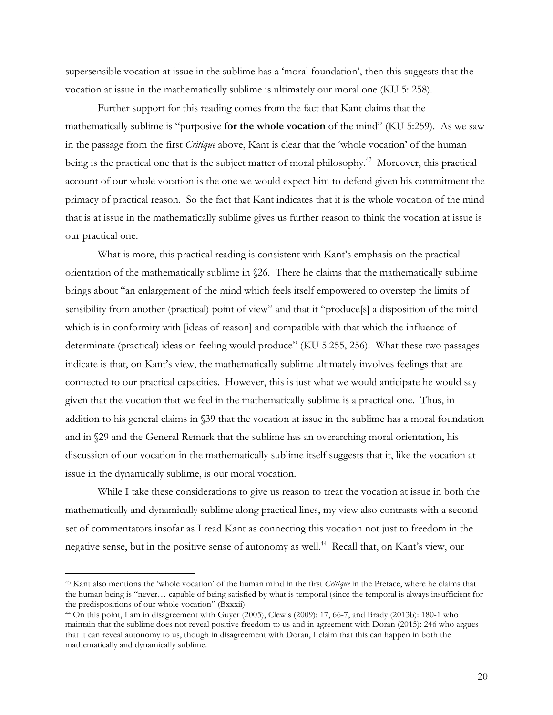supersensible vocation at issue in the sublime has a 'moral foundation', then this suggests that the vocation at issue in the mathematically sublime is ultimately our moral one (KU 5: 258).

Further support for this reading comes from the fact that Kant claims that the mathematically sublime is "purposive **for the whole vocation** of the mind" (KU 5:259). As we saw in the passage from the first *Critique* above, Kant is clear that the 'whole vocation' of the human being is the practical one that is the subject matter of moral philosophy.<sup>43</sup> Moreover, this practical account of our whole vocation is the one we would expect him to defend given his commitment the primacy of practical reason. So the fact that Kant indicates that it is the whole vocation of the mind that is at issue in the mathematically sublime gives us further reason to think the vocation at issue is our practical one.

What is more, this practical reading is consistent with Kant's emphasis on the practical orientation of the mathematically sublime in §26. There he claims that the mathematically sublime brings about "an enlargement of the mind which feels itself empowered to overstep the limits of sensibility from another (practical) point of view" and that it "produce[s] a disposition of the mind which is in conformity with [ideas of reason] and compatible with that which the influence of determinate (practical) ideas on feeling would produce" (KU 5:255, 256). What these two passages indicate is that, on Kant's view, the mathematically sublime ultimately involves feelings that are connected to our practical capacities. However, this is just what we would anticipate he would say given that the vocation that we feel in the mathematically sublime is a practical one. Thus, in addition to his general claims in §39 that the vocation at issue in the sublime has a moral foundation and in §29 and the General Remark that the sublime has an overarching moral orientation, his discussion of our vocation in the mathematically sublime itself suggests that it, like the vocation at issue in the dynamically sublime, is our moral vocation.

While I take these considerations to give us reason to treat the vocation at issue in both the mathematically and dynamically sublime along practical lines, my view also contrasts with a second set of commentators insofar as I read Kant as connecting this vocation not just to freedom in the negative sense, but in the positive sense of autonomy as well. 44 Recall that, on Kant's view, our

 <sup>43</sup> Kant also mentions the 'whole vocation' of the human mind in the first *Critique* in the Preface, where he claims that the human being is "never… capable of being satisfied by what is temporal (since the temporal is always insufficient for the predispositions of our whole vocation" (Bxxxii).

<sup>44</sup> On this point, I am in disagreement with Guyer (2005), Clewis (2009): 17, 66-7, and Brady (2013b): 180-1 who maintain that the sublime does not reveal positive freedom to us and in agreement with Doran (2015): 246 who argues that it can reveal autonomy to us, though in disagreement with Doran, I claim that this can happen in both the mathematically and dynamically sublime.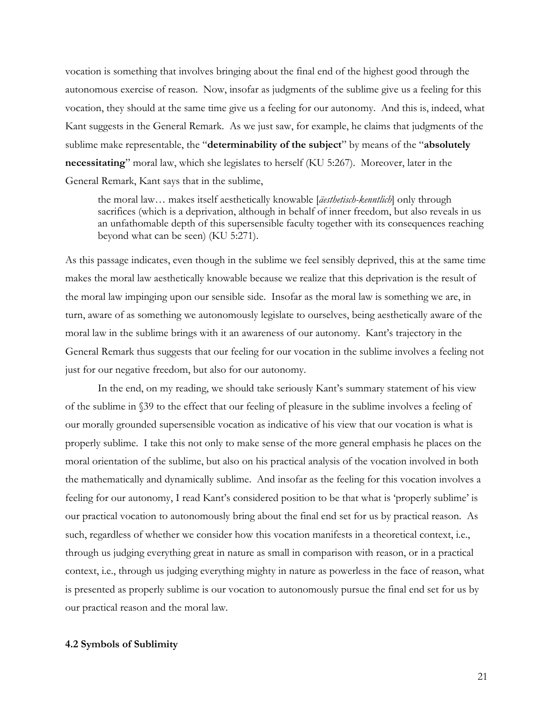vocation is something that involves bringing about the final end of the highest good through the autonomous exercise of reason. Now, insofar as judgments of the sublime give us a feeling for this vocation, they should at the same time give us a feeling for our autonomy. And this is, indeed, what Kant suggests in the General Remark. As we just saw, for example, he claims that judgments of the sublime make representable, the "**determinability of the subject**" by means of the "**absolutely necessitating**" moral law, which she legislates to herself (KU 5:267). Moreover, later in the General Remark, Kant says that in the sublime,

the moral law… makes itself aesthetically knowable [*äesthetisch-kenntlich*] only through sacrifices (which is a deprivation, although in behalf of inner freedom, but also reveals in us an unfathomable depth of this supersensible faculty together with its consequences reaching beyond what can be seen) (KU 5:271).

As this passage indicates, even though in the sublime we feel sensibly deprived, this at the same time makes the moral law aesthetically knowable because we realize that this deprivation is the result of the moral law impinging upon our sensible side. Insofar as the moral law is something we are, in turn, aware of as something we autonomously legislate to ourselves, being aesthetically aware of the moral law in the sublime brings with it an awareness of our autonomy. Kant's trajectory in the General Remark thus suggests that our feeling for our vocation in the sublime involves a feeling not just for our negative freedom, but also for our autonomy.

In the end, on my reading, we should take seriously Kant's summary statement of his view of the sublime in §39 to the effect that our feeling of pleasure in the sublime involves a feeling of our morally grounded supersensible vocation as indicative of his view that our vocation is what is properly sublime. I take this not only to make sense of the more general emphasis he places on the moral orientation of the sublime, but also on his practical analysis of the vocation involved in both the mathematically and dynamically sublime. And insofar as the feeling for this vocation involves a feeling for our autonomy, I read Kant's considered position to be that what is 'properly sublime' is our practical vocation to autonomously bring about the final end set for us by practical reason. As such, regardless of whether we consider how this vocation manifests in a theoretical context, i.e., through us judging everything great in nature as small in comparison with reason, or in a practical context, i.e., through us judging everything mighty in nature as powerless in the face of reason, what is presented as properly sublime is our vocation to autonomously pursue the final end set for us by our practical reason and the moral law.

#### **4.2 Symbols of Sublimity**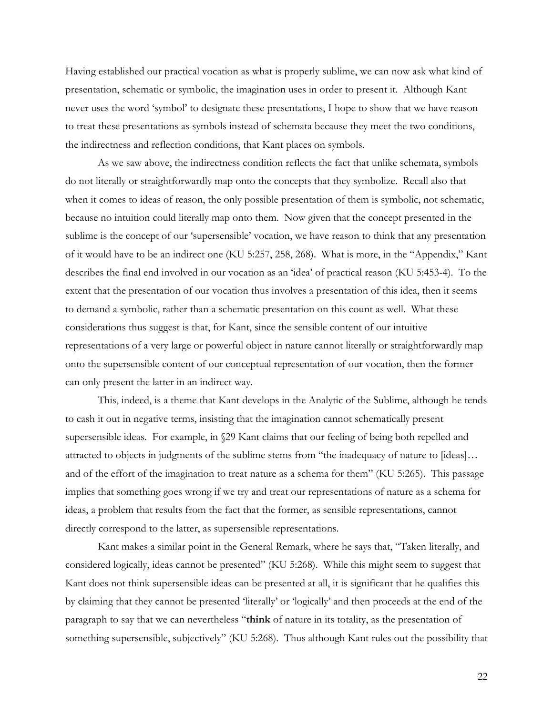Having established our practical vocation as what is properly sublime, we can now ask what kind of presentation, schematic or symbolic, the imagination uses in order to present it. Although Kant never uses the word 'symbol' to designate these presentations, I hope to show that we have reason to treat these presentations as symbols instead of schemata because they meet the two conditions, the indirectness and reflection conditions, that Kant places on symbols.

As we saw above, the indirectness condition reflects the fact that unlike schemata, symbols do not literally or straightforwardly map onto the concepts that they symbolize. Recall also that when it comes to ideas of reason, the only possible presentation of them is symbolic, not schematic, because no intuition could literally map onto them. Now given that the concept presented in the sublime is the concept of our 'supersensible' vocation, we have reason to think that any presentation of it would have to be an indirect one (KU 5:257, 258, 268). What is more, in the "Appendix," Kant describes the final end involved in our vocation as an 'idea' of practical reason (KU 5:453-4). To the extent that the presentation of our vocation thus involves a presentation of this idea, then it seems to demand a symbolic, rather than a schematic presentation on this count as well. What these considerations thus suggest is that, for Kant, since the sensible content of our intuitive representations of a very large or powerful object in nature cannot literally or straightforwardly map onto the supersensible content of our conceptual representation of our vocation, then the former can only present the latter in an indirect way.

This, indeed, is a theme that Kant develops in the Analytic of the Sublime, although he tends to cash it out in negative terms, insisting that the imagination cannot schematically present supersensible ideas. For example, in §29 Kant claims that our feeling of being both repelled and attracted to objects in judgments of the sublime stems from "the inadequacy of nature to [ideas]… and of the effort of the imagination to treat nature as a schema for them" (KU 5:265). This passage implies that something goes wrong if we try and treat our representations of nature as a schema for ideas, a problem that results from the fact that the former, as sensible representations, cannot directly correspond to the latter, as supersensible representations.

Kant makes a similar point in the General Remark, where he says that, "Taken literally, and considered logically, ideas cannot be presented" (KU 5:268). While this might seem to suggest that Kant does not think supersensible ideas can be presented at all, it is significant that he qualifies this by claiming that they cannot be presented 'literally' or 'logically' and then proceeds at the end of the paragraph to say that we can nevertheless "**think** of nature in its totality, as the presentation of something supersensible, subjectively" (KU 5:268). Thus although Kant rules out the possibility that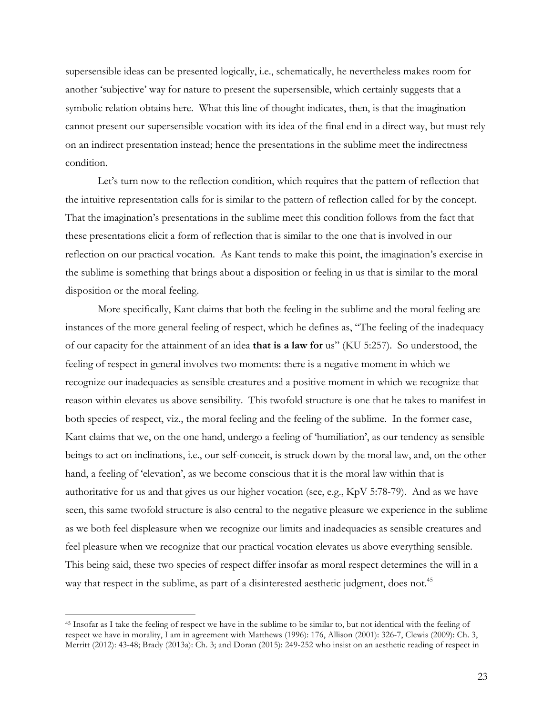supersensible ideas can be presented logically, i.e., schematically, he nevertheless makes room for another 'subjective' way for nature to present the supersensible, which certainly suggests that a symbolic relation obtains here. What this line of thought indicates, then, is that the imagination cannot present our supersensible vocation with its idea of the final end in a direct way, but must rely on an indirect presentation instead; hence the presentations in the sublime meet the indirectness condition.

Let's turn now to the reflection condition, which requires that the pattern of reflection that the intuitive representation calls for is similar to the pattern of reflection called for by the concept. That the imagination's presentations in the sublime meet this condition follows from the fact that these presentations elicit a form of reflection that is similar to the one that is involved in our reflection on our practical vocation. As Kant tends to make this point, the imagination's exercise in the sublime is something that brings about a disposition or feeling in us that is similar to the moral disposition or the moral feeling.

More specifically, Kant claims that both the feeling in the sublime and the moral feeling are instances of the more general feeling of respect, which he defines as, "The feeling of the inadequacy of our capacity for the attainment of an idea **that is a law for** us" (KU 5:257). So understood, the feeling of respect in general involves two moments: there is a negative moment in which we recognize our inadequacies as sensible creatures and a positive moment in which we recognize that reason within elevates us above sensibility. This twofold structure is one that he takes to manifest in both species of respect, viz., the moral feeling and the feeling of the sublime. In the former case, Kant claims that we, on the one hand, undergo a feeling of 'humiliation', as our tendency as sensible beings to act on inclinations, i.e., our self-conceit, is struck down by the moral law, and, on the other hand, a feeling of 'elevation', as we become conscious that it is the moral law within that is authoritative for us and that gives us our higher vocation (see, e.g., KpV 5:78-79). And as we have seen, this same twofold structure is also central to the negative pleasure we experience in the sublime as we both feel displeasure when we recognize our limits and inadequacies as sensible creatures and feel pleasure when we recognize that our practical vocation elevates us above everything sensible. This being said, these two species of respect differ insofar as moral respect determines the will in a way that respect in the sublime, as part of a disinterested aesthetic judgment, does not.<sup>45</sup>

 <sup>45</sup> Insofar as I take the feeling of respect we have in the sublime to be similar to, but not identical with the feeling of respect we have in morality, I am in agreement with Matthews (1996): 176, Allison (2001): 326-7, Clewis (2009): Ch. 3, Merritt (2012): 43-48; Brady (2013a): Ch. 3; and Doran (2015): 249-252 who insist on an aesthetic reading of respect in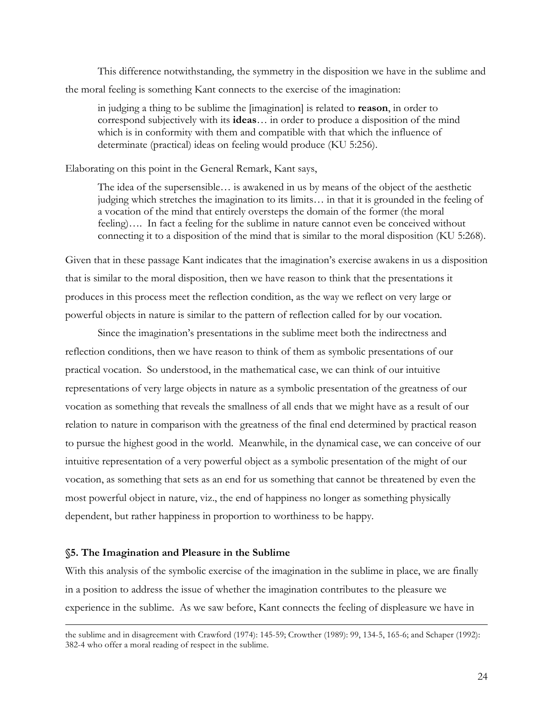This difference notwithstanding, the symmetry in the disposition we have in the sublime and the moral feeling is something Kant connects to the exercise of the imagination:

in judging a thing to be sublime the [imagination] is related to **reason**, in order to correspond subjectively with its **ideas**… in order to produce a disposition of the mind which is in conformity with them and compatible with that which the influence of determinate (practical) ideas on feeling would produce (KU 5:256).

## Elaborating on this point in the General Remark, Kant says,

The idea of the supersensible… is awakened in us by means of the object of the aesthetic judging which stretches the imagination to its limits… in that it is grounded in the feeling of a vocation of the mind that entirely oversteps the domain of the former (the moral feeling)…. In fact a feeling for the sublime in nature cannot even be conceived without connecting it to a disposition of the mind that is similar to the moral disposition (KU 5:268).

Given that in these passage Kant indicates that the imagination's exercise awakens in us a disposition that is similar to the moral disposition, then we have reason to think that the presentations it produces in this process meet the reflection condition, as the way we reflect on very large or powerful objects in nature is similar to the pattern of reflection called for by our vocation.

Since the imagination's presentations in the sublime meet both the indirectness and reflection conditions, then we have reason to think of them as symbolic presentations of our practical vocation. So understood, in the mathematical case, we can think of our intuitive representations of very large objects in nature as a symbolic presentation of the greatness of our vocation as something that reveals the smallness of all ends that we might have as a result of our relation to nature in comparison with the greatness of the final end determined by practical reason to pursue the highest good in the world. Meanwhile, in the dynamical case, we can conceive of our intuitive representation of a very powerful object as a symbolic presentation of the might of our vocation, as something that sets as an end for us something that cannot be threatened by even the most powerful object in nature, viz., the end of happiness no longer as something physically dependent, but rather happiness in proportion to worthiness to be happy.

#### **§5. The Imagination and Pleasure in the Sublime**

With this analysis of the symbolic exercise of the imagination in the sublime in place, we are finally in a position to address the issue of whether the imagination contributes to the pleasure we experience in the sublime. As we saw before, Kant connects the feeling of displeasure we have in

the sublime and in disagreement with Crawford (1974): 145-59; Crowther (1989): 99, 134-5, 165-6; and Schaper (1992): 382-4 who offer a moral reading of respect in the sublime.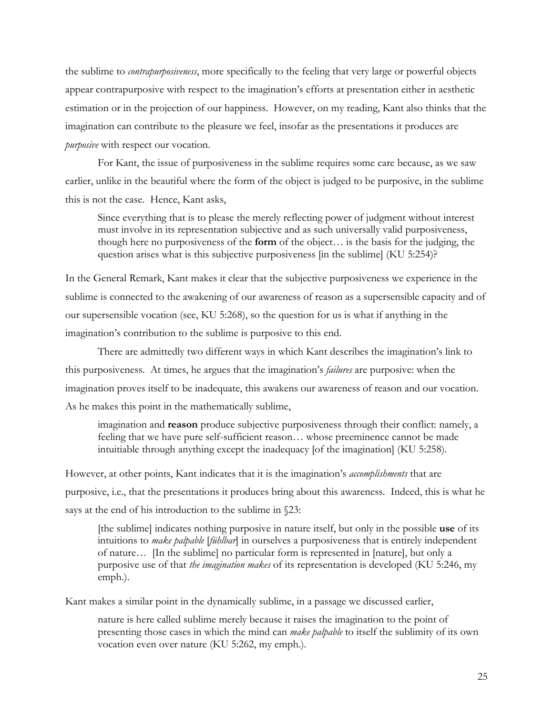the sublime to *contrapurposiveness*, more specifically to the feeling that very large or powerful objects appear contrapurposive with respect to the imagination's efforts at presentation either in aesthetic estimation or in the projection of our happiness. However, on my reading, Kant also thinks that the imagination can contribute to the pleasure we feel, insofar as the presentations it produces are *purposive* with respect our vocation.

For Kant, the issue of purposiveness in the sublime requires some care because, as we saw earlier, unlike in the beautiful where the form of the object is judged to be purposive, in the sublime this is not the case. Hence, Kant asks,

Since everything that is to please the merely reflecting power of judgment without interest must involve in its representation subjective and as such universally valid purposiveness, though here no purposiveness of the **form** of the object… is the basis for the judging, the question arises what is this subjective purposiveness [in the sublime] (KU 5:254)?

In the General Remark, Kant makes it clear that the subjective purposiveness we experience in the sublime is connected to the awakening of our awareness of reason as a supersensible capacity and of our supersensible vocation (see, KU 5:268), so the question for us is what if anything in the imagination's contribution to the sublime is purposive to this end.

There are admittedly two different ways in which Kant describes the imagination's link to this purposiveness. At times, he argues that the imagination's *failures* are purposive: when the imagination proves itself to be inadequate, this awakens our awareness of reason and our vocation. As he makes this point in the mathematically sublime,

imagination and **reason** produce subjective purposiveness through their conflict: namely, a feeling that we have pure self-sufficient reason… whose preeminence cannot be made intuitiable through anything except the inadequacy [of the imagination] (KU 5:258).

However, at other points, Kant indicates that it is the imagination's *accomplishments* that are purposive, i.e., that the presentations it produces bring about this awareness. Indeed, this is what he says at the end of his introduction to the sublime in §23:

[the sublime] indicates nothing purposive in nature itself, but only in the possible **use** of its intuitions to *make palpable* [*fühlbar*] in ourselves a purposiveness that is entirely independent of nature… [In the sublime] no particular form is represented in [nature], but only a purposive use of that *the imagination makes* of its representation is developed (KU 5:246, my emph.).

Kant makes a similar point in the dynamically sublime, in a passage we discussed earlier,

nature is here called sublime merely because it raises the imagination to the point of presenting those cases in which the mind can *make palpable* to itself the sublimity of its own vocation even over nature (KU 5:262, my emph.).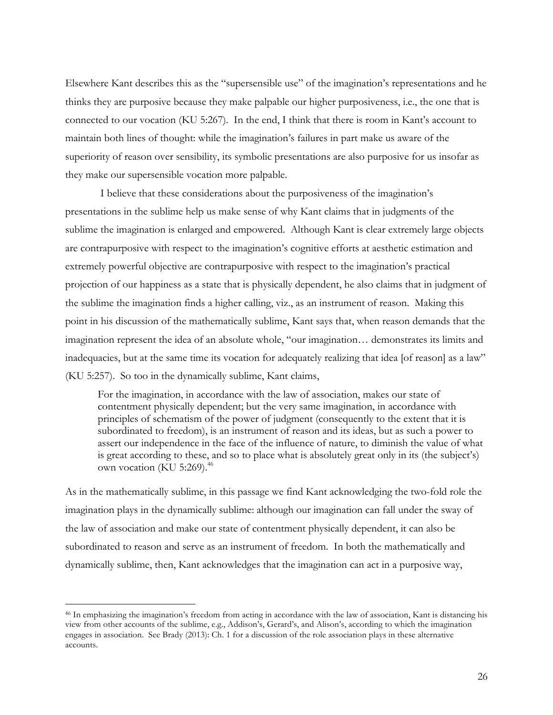Elsewhere Kant describes this as the "supersensible use" of the imagination's representations and he thinks they are purposive because they make palpable our higher purposiveness, i.e., the one that is connected to our vocation (KU 5:267). In the end, I think that there is room in Kant's account to maintain both lines of thought: while the imagination's failures in part make us aware of the superiority of reason over sensibility, its symbolic presentations are also purposive for us insofar as they make our supersensible vocation more palpable.

I believe that these considerations about the purposiveness of the imagination's presentations in the sublime help us make sense of why Kant claims that in judgments of the sublime the imagination is enlarged and empowered. Although Kant is clear extremely large objects are contrapurposive with respect to the imagination's cognitive efforts at aesthetic estimation and extremely powerful objective are contrapurposive with respect to the imagination's practical projection of our happiness as a state that is physically dependent, he also claims that in judgment of the sublime the imagination finds a higher calling, viz., as an instrument of reason. Making this point in his discussion of the mathematically sublime, Kant says that, when reason demands that the imagination represent the idea of an absolute whole, "our imagination… demonstrates its limits and inadequacies, but at the same time its vocation for adequately realizing that idea [of reason] as a law" (KU 5:257). So too in the dynamically sublime, Kant claims,

For the imagination, in accordance with the law of association, makes our state of contentment physically dependent; but the very same imagination, in accordance with principles of schematism of the power of judgment (consequently to the extent that it is subordinated to freedom), is an instrument of reason and its ideas, but as such a power to assert our independence in the face of the influence of nature, to diminish the value of what is great according to these, and so to place what is absolutely great only in its (the subject's) own vocation (KU 5:269).<sup>46</sup>

As in the mathematically sublime, in this passage we find Kant acknowledging the two-fold role the imagination plays in the dynamically sublime: although our imagination can fall under the sway of the law of association and make our state of contentment physically dependent, it can also be subordinated to reason and serve as an instrument of freedom. In both the mathematically and dynamically sublime, then, Kant acknowledges that the imagination can act in a purposive way,

 <sup>46</sup> In emphasizing the imagination's freedom from acting in accordance with the law of association, Kant is distancing his view from other accounts of the sublime, e.g., Addison's, Gerard's, and Alison's, according to which the imagination engages in association. See Brady (2013): Ch. 1 for a discussion of the role association plays in these alternative accounts.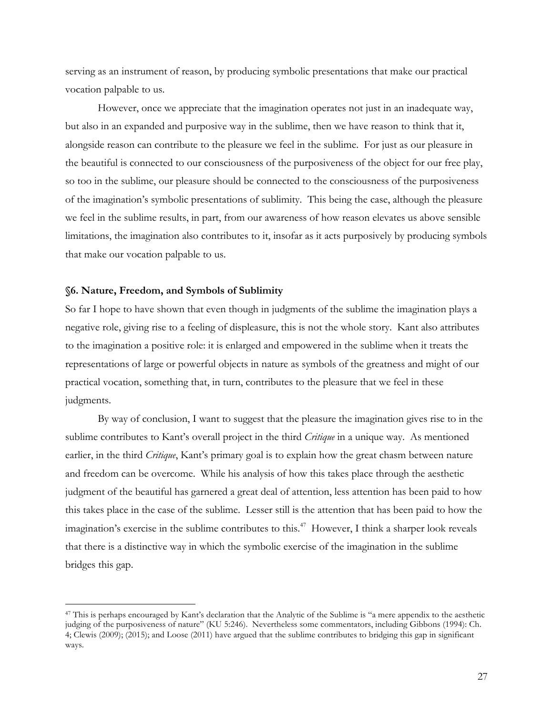serving as an instrument of reason, by producing symbolic presentations that make our practical vocation palpable to us.

However, once we appreciate that the imagination operates not just in an inadequate way, but also in an expanded and purposive way in the sublime, then we have reason to think that it, alongside reason can contribute to the pleasure we feel in the sublime. For just as our pleasure in the beautiful is connected to our consciousness of the purposiveness of the object for our free play, so too in the sublime, our pleasure should be connected to the consciousness of the purposiveness of the imagination's symbolic presentations of sublimity. This being the case, although the pleasure we feel in the sublime results, in part, from our awareness of how reason elevates us above sensible limitations, the imagination also contributes to it, insofar as it acts purposively by producing symbols that make our vocation palpable to us.

#### **§6. Nature, Freedom, and Symbols of Sublimity**

So far I hope to have shown that even though in judgments of the sublime the imagination plays a negative role, giving rise to a feeling of displeasure, this is not the whole story. Kant also attributes to the imagination a positive role: it is enlarged and empowered in the sublime when it treats the representations of large or powerful objects in nature as symbols of the greatness and might of our practical vocation, something that, in turn, contributes to the pleasure that we feel in these judgments.

By way of conclusion, I want to suggest that the pleasure the imagination gives rise to in the sublime contributes to Kant's overall project in the third *Critique* in a unique way. As mentioned earlier, in the third *Critique*, Kant's primary goal is to explain how the great chasm between nature and freedom can be overcome. While his analysis of how this takes place through the aesthetic judgment of the beautiful has garnered a great deal of attention, less attention has been paid to how this takes place in the case of the sublime. Lesser still is the attention that has been paid to how the imagination's exercise in the sublime contributes to this.<sup>47</sup> However, I think a sharper look reveals that there is a distinctive way in which the symbolic exercise of the imagination in the sublime bridges this gap.

 <sup>47</sup> This is perhaps encouraged by Kant's declaration that the Analytic of the Sublime is "a mere appendix to the aesthetic judging of the purposiveness of nature" (KU 5:246). Nevertheless some commentators, including Gibbons (1994): Ch. 4; Clewis (2009); (2015); and Loose (2011) have argued that the sublime contributes to bridging this gap in significant ways.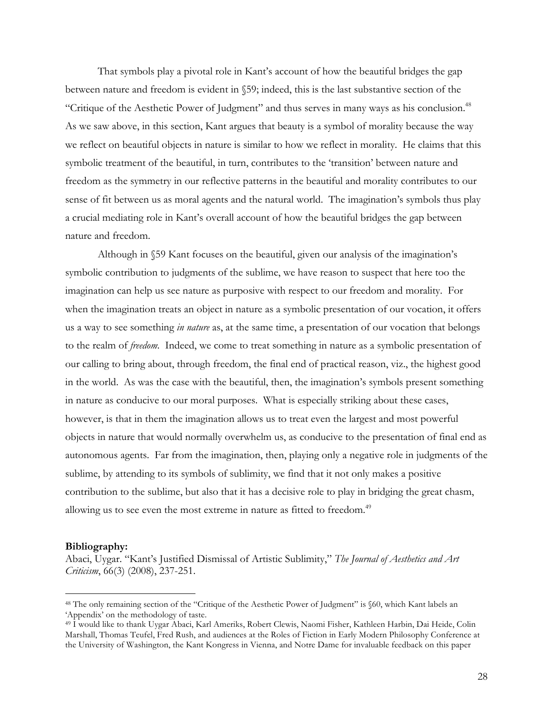That symbols play a pivotal role in Kant's account of how the beautiful bridges the gap between nature and freedom is evident in §59; indeed, this is the last substantive section of the "Critique of the Aesthetic Power of Judgment" and thus serves in many ways as his conclusion.48 As we saw above, in this section, Kant argues that beauty is a symbol of morality because the way we reflect on beautiful objects in nature is similar to how we reflect in morality. He claims that this symbolic treatment of the beautiful, in turn, contributes to the 'transition' between nature and freedom as the symmetry in our reflective patterns in the beautiful and morality contributes to our sense of fit between us as moral agents and the natural world. The imagination's symbols thus play a crucial mediating role in Kant's overall account of how the beautiful bridges the gap between nature and freedom.

Although in §59 Kant focuses on the beautiful, given our analysis of the imagination's symbolic contribution to judgments of the sublime, we have reason to suspect that here too the imagination can help us see nature as purposive with respect to our freedom and morality. For when the imagination treats an object in nature as a symbolic presentation of our vocation, it offers us a way to see something *in nature* as, at the same time, a presentation of our vocation that belongs to the realm of *freedom*. Indeed, we come to treat something in nature as a symbolic presentation of our calling to bring about, through freedom, the final end of practical reason, viz., the highest good in the world. As was the case with the beautiful, then, the imagination's symbols present something in nature as conducive to our moral purposes. What is especially striking about these cases, however, is that in them the imagination allows us to treat even the largest and most powerful objects in nature that would normally overwhelm us, as conducive to the presentation of final end as autonomous agents. Far from the imagination, then, playing only a negative role in judgments of the sublime, by attending to its symbols of sublimity, we find that it not only makes a positive contribution to the sublime, but also that it has a decisive role to play in bridging the great chasm, allowing us to see even the most extreme in nature as fitted to freedom.<sup>49</sup>

#### **Bibliography:**

Abaci, Uygar. "Kant's Justified Dismissal of Artistic Sublimity," *The Journal of Aesthetics and Art Criticism*, 66(3) (2008), 237-251.

 <sup>48</sup> The only remaining section of the "Critique of the Aesthetic Power of Judgment" is §60, which Kant labels an 'Appendix' on the methodology of taste.

<sup>49</sup> I would like to thank Uygar Abaci, Karl Ameriks, Robert Clewis, Naomi Fisher, Kathleen Harbin, Dai Heide, Colin Marshall, Thomas Teufel, Fred Rush, and audiences at the Roles of Fiction in Early Modern Philosophy Conference at the University of Washington, the Kant Kongress in Vienna, and Notre Dame for invaluable feedback on this paper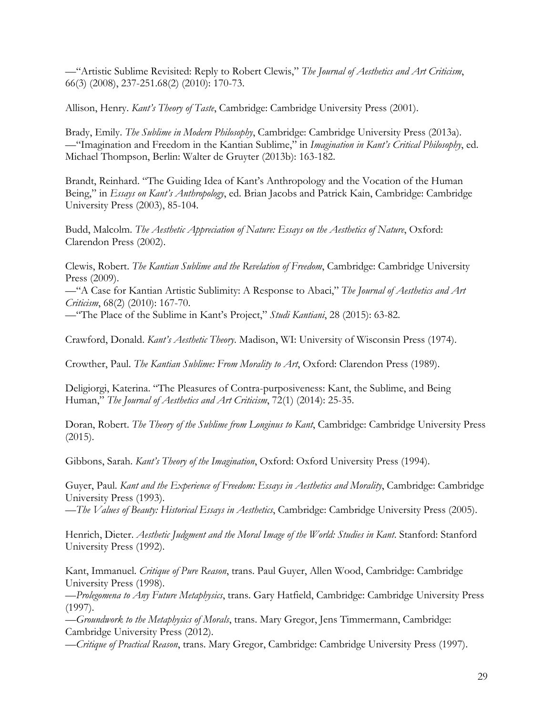—"Artistic Sublime Revisited: Reply to Robert Clewis," *The Journal of Aesthetics and Art Criticism*, 66(3) (2008), 237-251.68(2) (2010): 170-73.

Allison, Henry. *Kant's Theory of Taste*, Cambridge: Cambridge University Press (2001).

Brady, Emily. *The Sublime in Modern Philosophy*, Cambridge: Cambridge University Press (2013a). —"Imagination and Freedom in the Kantian Sublime," in *Imagination in Kant's Critical Philosophy*, ed. Michael Thompson, Berlin: Walter de Gruyter (2013b): 163-182.

Brandt, Reinhard. "The Guiding Idea of Kant's Anthropology and the Vocation of the Human Being," in *Essays on Kant's Anthropology*, ed. Brian Jacobs and Patrick Kain, Cambridge: Cambridge University Press (2003), 85-104.

Budd, Malcolm. *The Aesthetic Appreciation of Nature: Essays on the Aesthetics of Nature*, Oxford: Clarendon Press (2002).

Clewis, Robert. *The Kantian Sublime and the Revelation of Freedom*, Cambridge: Cambridge University Press (2009).

—"A Case for Kantian Artistic Sublimity: A Response to Abaci," *The Journal of Aesthetics and Art Criticism*, 68(2) (2010): 167-70.

—"The Place of the Sublime in Kant's Project," *Studi Kantiani*, 28 (2015): 63-82.

Crawford, Donald. *Kant's Aesthetic Theory*. Madison, WI: University of Wisconsin Press (1974).

Crowther, Paul. *The Kantian Sublime: From Morality to Art*, Oxford: Clarendon Press (1989).

Deligiorgi, Katerina. "The Pleasures of Contra-purposiveness: Kant, the Sublime, and Being Human," *The Journal of Aesthetics and Art Criticism*, 72(1) (2014): 25-35.

Doran, Robert. *The Theory of the Sublime from Longinus to Kant*, Cambridge: Cambridge University Press (2015).

Gibbons, Sarah. *Kant's Theory of the Imagination*, Oxford: Oxford University Press (1994).

Guyer, Paul. *Kant and the Experience of Freedom: Essays in Aesthetics and Morality*, Cambridge: Cambridge University Press (1993).

—*The Values of Beauty: Historical Essays in Aesthetics*, Cambridge: Cambridge University Press (2005).

Henrich, Dieter. *Aesthetic Judgment and the Moral Image of the World: Studies in Kant*. Stanford: Stanford University Press (1992).

Kant, Immanuel. *Critique of Pure Reason*, trans. Paul Guyer, Allen Wood, Cambridge: Cambridge University Press (1998).

—*Prolegomena to Any Future Metaphysics*, trans. Gary Hatfield, Cambridge: Cambridge University Press (1997).

—*Groundwork to the Metaphysics of Morals*, trans. Mary Gregor, Jens Timmermann, Cambridge: Cambridge University Press (2012).

—*Critique of Practical Reason*, trans. Mary Gregor, Cambridge: Cambridge University Press (1997).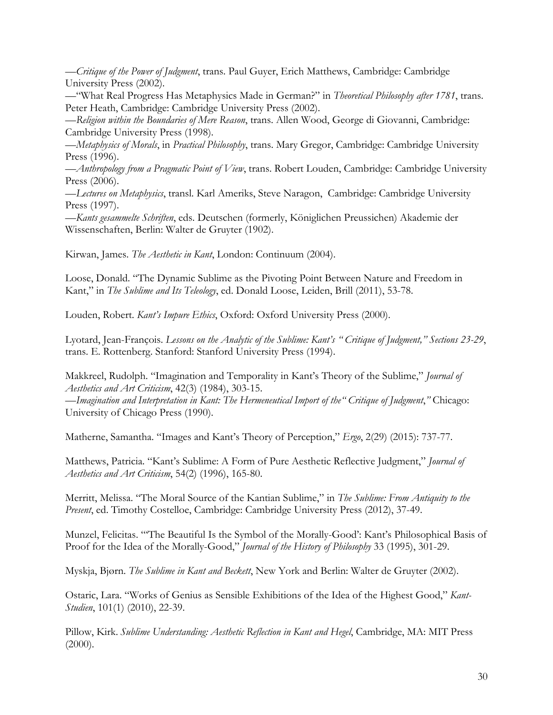—*Critique of the Power of Judgment*, trans. Paul Guyer, Erich Matthews, Cambridge: Cambridge University Press (2002).

—"What Real Progress Has Metaphysics Made in German?" in *Theoretical Philosophy after 1781*, trans. Peter Heath, Cambridge: Cambridge University Press (2002).

—*Religion within the Boundaries of Mere Reason*, trans. Allen Wood, George di Giovanni, Cambridge: Cambridge University Press (1998).

—*Metaphysics of Morals*, in *Practical Philosophy*, trans. Mary Gregor, Cambridge: Cambridge University Press (1996).

—*Anthropology from a Pragmatic Point of View*, trans. Robert Louden, Cambridge: Cambridge University Press (2006).

—*Lectures on Metaphysics*, transl. Karl Ameriks, Steve Naragon, Cambridge: Cambridge University Press (1997).

—*Kants gesammelte Schriften*, eds. Deutschen (formerly, Königlichen Preussichen) Akademie der Wissenschaften, Berlin: Walter de Gruyter (1902).

Kirwan, James. *The Aesthetic in Kant*, London: Continuum (2004).

Loose, Donald. "The Dynamic Sublime as the Pivoting Point Between Nature and Freedom in Kant," in *The Sublime and Its Teleology*, ed. Donald Loose, Leiden, Brill (2011), 53-78.

Louden, Robert. *Kant's Impure Ethics*, Oxford: Oxford University Press (2000).

Lyotard, Jean-François. *Lessons on the Analytic of the Sublime: Kant's " Critique of Judgment," Sections 23-29*, trans. E. Rottenberg. Stanford: Stanford University Press (1994).

Makkreel, Rudolph. "Imagination and Temporality in Kant's Theory of the Sublime," *Journal of Aesthetics and Art Criticism*, 42(3) (1984), 303-15.

—*Imagination and Interpretation in Kant: The Hermeneutical Import of the" Critique of Judgment*,*"* Chicago: University of Chicago Press (1990).

Matherne, Samantha. "Images and Kant's Theory of Perception," *Ergo*, 2(29) (2015): 737-77.

Matthews, Patricia. "Kant's Sublime: A Form of Pure Aesthetic Reflective Judgment," *Journal of Aesthetics and Art Criticism*, 54(2) (1996), 165-80.

Merritt, Melissa. "The Moral Source of the Kantian Sublime," in *The Sublime: From Antiquity to the Present*, ed. Timothy Costelloe, Cambridge: Cambridge University Press (2012), 37-49.

Munzel, Felicitas. "'The Beautiful Is the Symbol of the Morally-Good': Kant's Philosophical Basis of Proof for the Idea of the Morally-Good," *Journal of the History of Philosophy* 33 (1995), 301-29.

Myskja, Bjørn. *The Sublime in Kant and Beckett*, New York and Berlin: Walter de Gruyter (2002).

Ostaric, Lara. "Works of Genius as Sensible Exhibitions of the Idea of the Highest Good," *Kant-Studien*, 101(1) (2010), 22-39.

Pillow, Kirk. *Sublime Understanding: Aesthetic Reflection in Kant and Hegel*, Cambridge, MA: MIT Press  $(2000)$ .